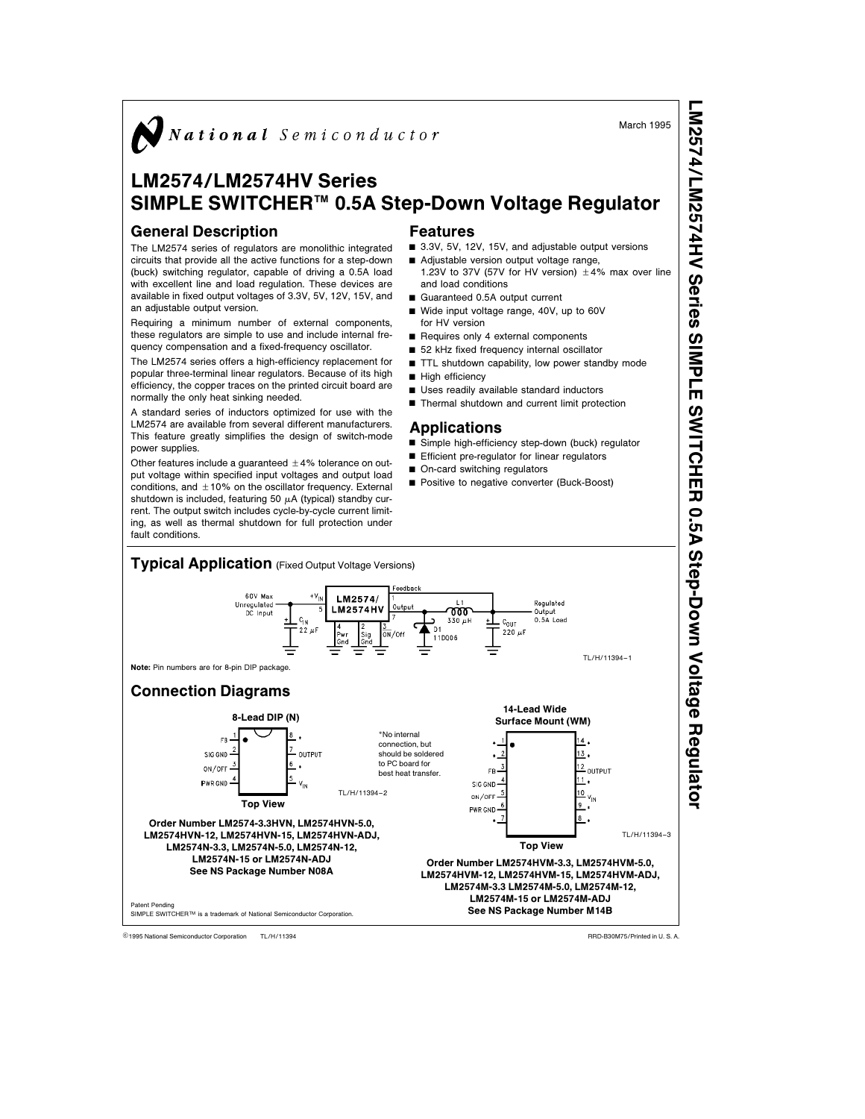

# LM2574/LM2574HV Series SIMPLE SWITCHER™ 0.5A Step-Down Voltage Regulator

### General Description

The LM2574 series of regulators are monolithic integrated circuits that provide all the active functions for a step-down (buck) switching regulator, capable of driving a 0.5A load with excellent line and load regulation. These devices are available in fixed output voltages of 3.3V, 5V, 12V, 15V, and an adjustable output version.

Requiring a minimum number of external components, these regulators are simple to use and include internal frequency compensation and a fixed-frequency oscillator.

The LM2574 series offers a high-efficiency replacement for popular three-terminal linear regulators. Because of its high efficiency, the copper traces on the printed circuit board are normally the only heat sinking needed.

A standard series of inductors optimized for use with the LM2574 are available from several different manufacturers. This feature greatly simplifies the design of switch-mode power supplies.

Other features include a quaranteed  $\pm$  4% tolerance on output voltage within specified input voltages and output load conditions, and  $\pm$ 10% on the oscillator frequency. External shutdown is included, featuring 50  $\mu$ A (typical) standby current. The output switch includes cycle-by-cycle current limiting, as well as thermal shutdown for full protection under fault conditions.

### Features

- 3.3V, 5V, 12V, 15V, and adjustable output versions
- Adjustable version output voltage range, 1.23V to 37V (57V for HV version)  $\pm 4\%$  max over line
- and load conditions Guaranteed 0.5A output current
- Wide input voltage range, 40V, up to 60V for HV version
- $\blacksquare$  Requires only 4 external components
- 52 kHz fixed frequency internal oscillator
- $\blacksquare$  TTL shutdown capability, low power standby mode
- High efficiency
- Uses readily available standard inductors
- Thermal shutdown and current limit protection

### **Applications**

- Simple high-efficiency step-down (buck) regulator
- **F** Efficient pre-regulator for linear regulators
- On-card switching regulators
- **Positive to negative converter (Buck-Boost)**



TL/H/11394 external Semiconductor Corporation TL/H/11394 RAD-B30M75/Printed in U. S. A.

March 1995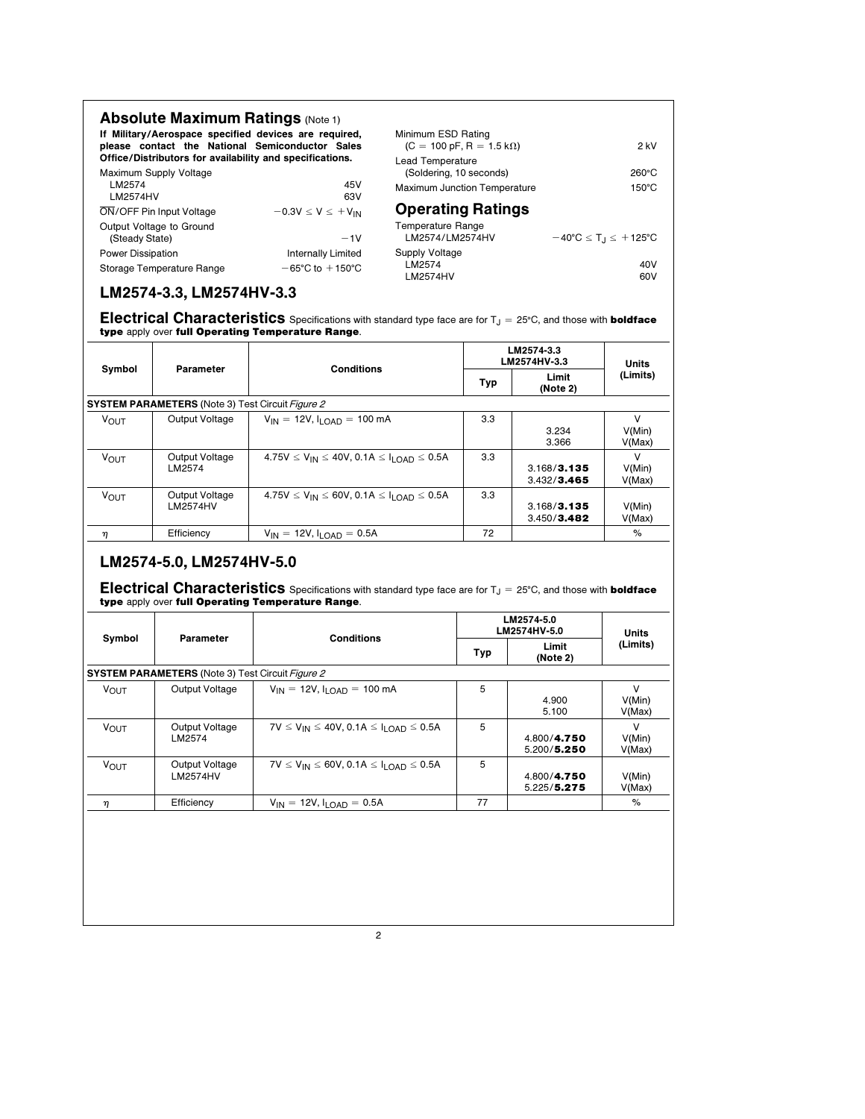| <b>Absolute Maximum Ratings (Note 1)</b>                                                                                                                             |                                     |                                                                                           |                                          |
|----------------------------------------------------------------------------------------------------------------------------------------------------------------------|-------------------------------------|-------------------------------------------------------------------------------------------|------------------------------------------|
| If Military/Aerospace specified devices are required,<br>please contact the National Semiconductor Sales<br>Office/Distributors for availability and specifications. |                                     | Minimum ESD Rating<br>$(C = 100 \text{ pF}, R = 1.5 \text{ k}\Omega)$<br>Lead Temperature | $2$ kV                                   |
| Maximum Supply Voltage                                                                                                                                               |                                     | (Soldering, 10 seconds)                                                                   | $260^{\circ}$ C                          |
| LM2574<br>LM2574HV                                                                                                                                                   | 45V<br>63V                          | Maximum Junction Temperature                                                              | $150^{\circ}$ C                          |
| ON/OFF Pin Input Voltage                                                                                                                                             | $-0.3V \le V \le +V_{IN}$           | <b>Operating Ratings</b>                                                                  |                                          |
| Output Voltage to Ground<br>(Steady State)                                                                                                                           | $-1V$                               | Temperature Range<br>LM2574/LM2574HV                                                      | $-40^{\circ}C \le T_1 \le +125^{\circ}C$ |
| <b>Power Dissipation</b>                                                                                                                                             | Internally Limited                  | Supply Voltage                                                                            |                                          |
| Storage Temperature Range                                                                                                                                            | $-65^{\circ}$ C to $+150^{\circ}$ C | LM2574                                                                                    | 40V                                      |
|                                                                                                                                                                      |                                     | LM2574HV                                                                                  | 60V                                      |

# LM2574-3.3, LM2574HV-3.3

Electrical Characteristics Specifications with standard type face are for  $T_J = 25^{\circ}$ C, and those with **boldface** type apply over full Operating Temperature Range.

|             | Parameter                                               | <b>Conditions</b>                                              | LM2574-3.3<br>LM2574HV-3.3 |                            | Units                      |
|-------------|---------------------------------------------------------|----------------------------------------------------------------|----------------------------|----------------------------|----------------------------|
| Symbol      |                                                         |                                                                | Typ                        | Limit<br>(Note 2)          | (Limits)                   |
|             | <b>SYSTEM PARAMETERS</b> (Note 3) Test Circuit Figure 2 |                                                                |                            |                            |                            |
| <b>VOUT</b> | Output Voltage                                          | $V_{IN} = 12V$ , $I_{I OAD} = 100$ mA                          | 3.3                        | 3.234<br>3.366             | $\vee$<br>V(Min)<br>V(Max) |
| <b>VOUT</b> | Output Voltage<br>LM2574                                | $4.75V \le V_{IN} \le 40V$ , 0.1A $\le I_{I \cap AD} \le 0.5A$ | 3.3                        | 3.168/3.135<br>3.432/3.465 | $\vee$<br>V(Min)<br>V(Max) |
| <b>VOUT</b> | Output Voltage<br>LM2574HV                              | $4.75V \le V_{IN} \le 60V$ , 0.1A $\le I_{I \cap AD} \le 0.5A$ | 3.3                        | 3.168/3.135<br>3.450/3.482 | V(Min)<br>V(Max)           |
| η           | Efficiency                                              | $V_{IN} = 12V$ , $I_{I OAD} = 0.5A$                            | 72                         |                            | $\%$                       |

# LM2574-5.0, LM2574HV-5.0

Electrical Characteristics Specifications with standard type face are for  $T_J = 25^{\circ}$ C, and those with boldface type apply over full Operating Temperature Range.

| Parameter                         | <b>Conditions</b>                                      | LM2574-5.0<br>LM2574HV-5.0                              |                            | <b>Units</b>               |
|-----------------------------------|--------------------------------------------------------|---------------------------------------------------------|----------------------------|----------------------------|
|                                   |                                                        | Typ                                                     | Limit<br>(Note 2)          | (Limits)                   |
|                                   |                                                        |                                                         |                            |                            |
| Output Voltage                    | $V_{IN}$ = 12V, $I_{I \cap AD}$ = 100 mA               | 5                                                       | 4.900<br>5.100             | $\vee$<br>V(Min)<br>V(Max) |
| Output Voltage<br>LM2574          | $7V \le V_{IN} \le 40V$ , 0.1A $\le I_{LOAD} \le 0.5A$ | 5                                                       | 4.800/4.750<br>5.200/5.250 | $\vee$<br>V(Min)<br>V(Max) |
| Output Voltage<br><b>LM2574HV</b> | $7V \le V_{IN} \le 60V$ , 0.1A $\le I_{LOAD} \le 0.5A$ | 5                                                       | 4.800/4.750<br>5.225/5.275 | V(Min)<br>V(Max)           |
| Efficiency                        | $V_{IN}$ = 12V, $I_{LOAD}$ = 0.5A                      | 77                                                      |                            | %                          |
|                                   |                                                        |                                                         |                            |                            |
|                                   |                                                        | <b>SYSTEM PARAMETERS</b> (Note 3) Test Circuit Figure 2 |                            |                            |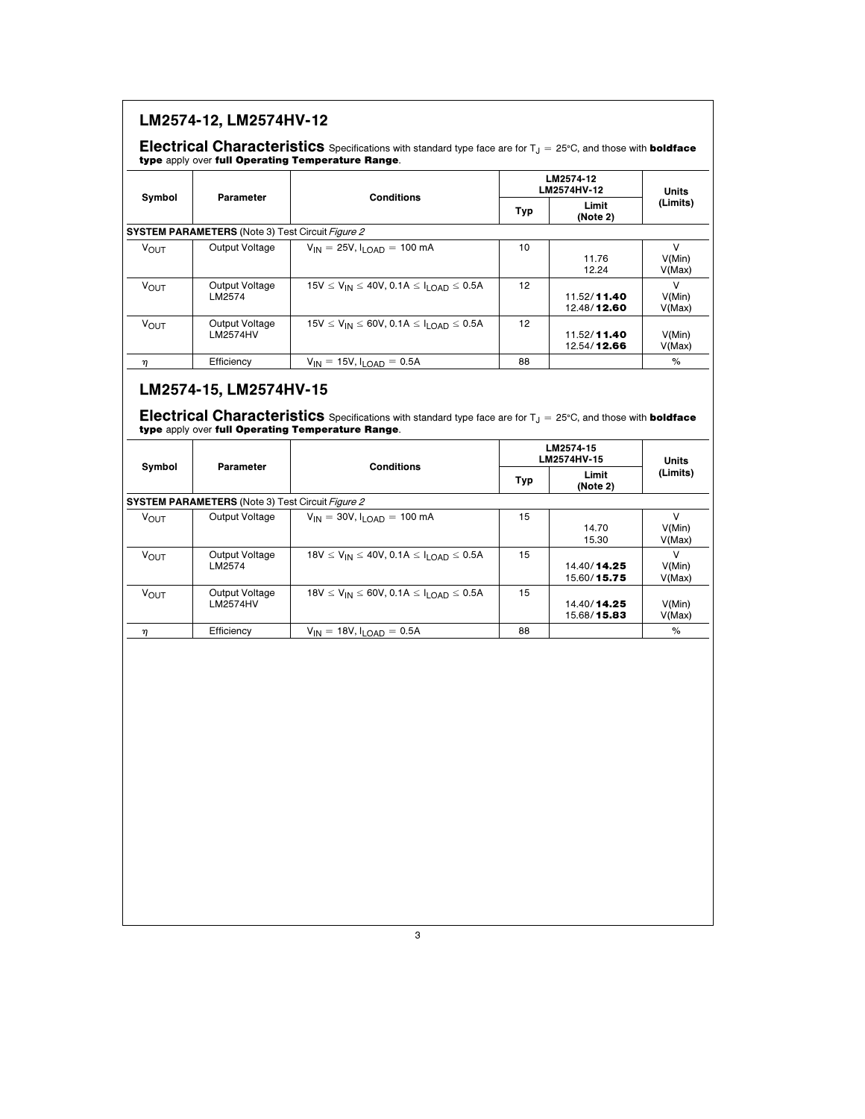|                        |                                                         |                                                         |     | LM2574-12<br>LM2574HV-12         |                            |
|------------------------|---------------------------------------------------------|---------------------------------------------------------|-----|----------------------------------|----------------------------|
| Symbol                 | Parameter                                               | <b>Conditions</b>                                       | Typ | Limit<br>(Note 2)                | Units<br>(Limits)          |
|                        | <b>SYSTEM PARAMETERS</b> (Note 3) Test Circuit Figure 2 |                                                         |     |                                  |                            |
| <b>V<sub>OUT</sub></b> | Output Voltage                                          | $V_{IN}$ = 25V, $I_{LOAD}$ = 100 mA                     | 10  | 11.76<br>12.24                   | V<br>V(Min)<br>V(Max)      |
| <b>VOUT</b>            | Output Voltage<br>LM2574                                | $15V \le V_{IN} \le 40V$ , 0.1A $\le I_{LOAD} \le 0.5A$ | 12  | 11.52/11.40<br>12.48/12.60       | $\vee$<br>V(Min)<br>V(Max) |
| <b>VOUT</b>            | Output Voltage<br><b>LM2574HV</b>                       | $15V \le V_{IN} \le 60V$ , 0.1A $\le I_{LOAD} \le 0.5A$ | 12  | 11.52/11.40<br>12.54/12.66       | V(Min)<br>V(Max)           |
| η                      | Efficiency                                              | $V_{IN} = 15V$ , $I_{LOAD} = 0.5A$                      | 88  |                                  | %                          |
| Symbol                 | Parameter                                               | <b>Conditions</b>                                       | Typ | LM2574HV-15<br>Limit<br>(Note 2) | Units<br>(Limits)          |
|                        | <b>SYSTEM PARAMETERS</b> (Note 3) Test Circuit Figure 2 |                                                         |     |                                  |                            |
| <b>VOUT</b>            | Output Voltage                                          | $V_{IN} = 30V, I_{LOAD} = 100 mA$                       | 15  | 14.70<br>15.30                   | V<br>V(Min)<br>V(Max)      |
| <b>VOUT</b>            | Output Voltage<br>LM2574                                | $18V \le V_{IN} \le 40V$ , 0.1A $\le I_{LOAD} \le 0.5A$ | 15  | 14.40/14.25<br>15.60/15.75       | V<br>V(Min)<br>V(Max)      |
| <b>VOUT</b>            | Output Voltage<br><b>LM2574HV</b>                       | $18V \le V_{IN} \le 60V$ , $0.1A \le I_{LOAD} \le 0.5A$ | 15  | 14.40/14.25<br>15.68/15.83       | V(Min)<br>V(Max)           |
| η                      | Efficiency                                              | $V_{IN} = 18V, I_{LOAD} = 0.5A$                         | 88  |                                  | $\%$                       |
|                        |                                                         |                                                         |     |                                  |                            |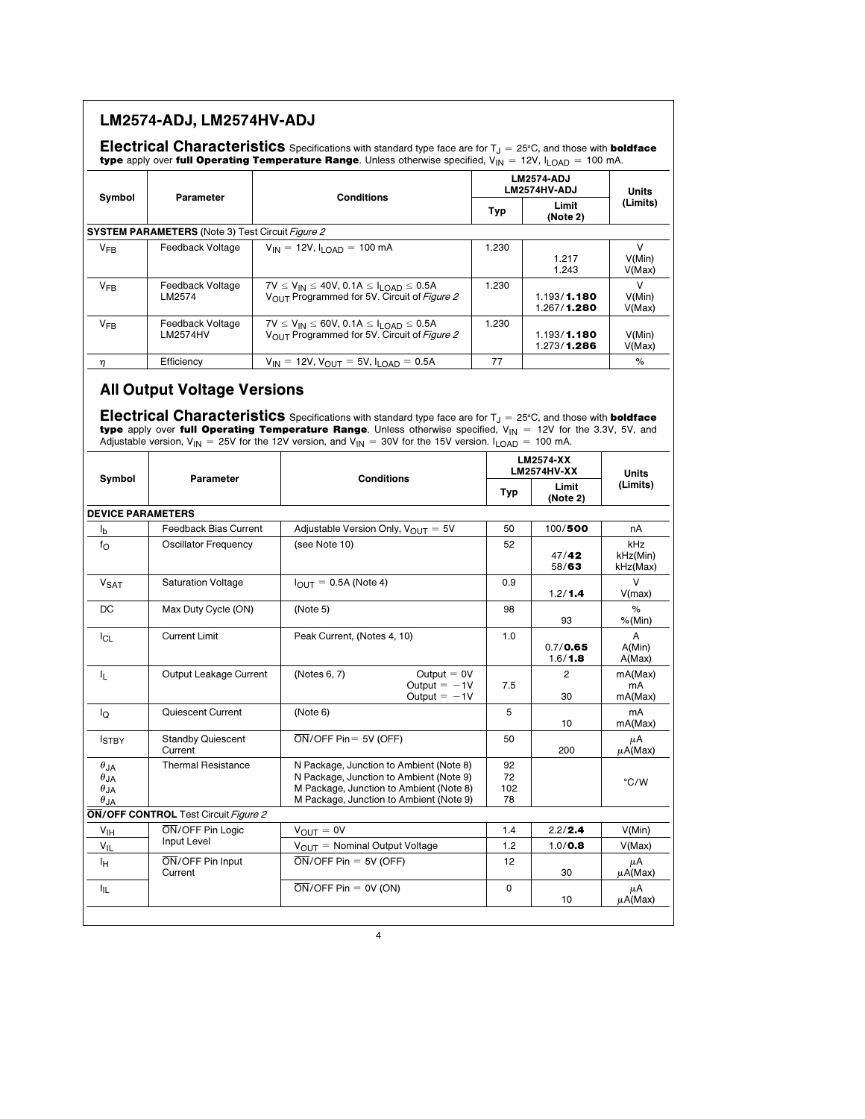|                                                                                    |                                                                | <b>Electrical Characteristics</b> Specifications with standard type face are for $T_J = 25^{\circ}C$ , and those with <b>boldface</b><br>type apply over full Operating Temperature Range. Unless otherwise specified, $V_{IN} = 12V$ , $I_{LOAD} = 100$ mA. |                       |                                                 |                          |  |
|------------------------------------------------------------------------------------|----------------------------------------------------------------|--------------------------------------------------------------------------------------------------------------------------------------------------------------------------------------------------------------------------------------------------------------|-----------------------|-------------------------------------------------|--------------------------|--|
| Symbol                                                                             | Parameter                                                      | <b>Conditions</b>                                                                                                                                                                                                                                            |                       | <b>LM2574-ADJ</b><br>LM2574HV-ADJ               |                          |  |
|                                                                                    |                                                                |                                                                                                                                                                                                                                                              | Typ                   | Limit<br>(Note 2)                               | (Limits)                 |  |
|                                                                                    | <b>SYSTEM PARAMETERS</b> (Note 3) Test Circuit <i>Figure 2</i> |                                                                                                                                                                                                                                                              |                       |                                                 |                          |  |
| $V_{FB}$                                                                           | Feedback Voltage                                               | $V_{IN}$ = 12V, $I_{LOAD}$ = 100 mA                                                                                                                                                                                                                          | 1.230                 | 1.217<br>1.243                                  | v<br>V(Min)<br>V(Max)    |  |
| $V_{FB}$                                                                           | Feedback Voltage<br>LM2574                                     | $7V \le V_{IN} \le 40V$ , 0.1A $\le I_{LOAD} \le 0.5A$<br>1.230<br>VOUT Programmed for 5V. Circuit of Figure 2                                                                                                                                               |                       | 1.193/1.180<br>1.267/1.280                      | V<br>V(Min)<br>V(Max)    |  |
| $V_{FB}$                                                                           | Feedback Voltage<br><b>LM2574HV</b>                            | $7V \le V_{IN} \le 60V$ , 0.1A $\le I_{LOAD} \le 0.5A$<br>VOUT Programmed for 5V. Circuit of Figure 2                                                                                                                                                        | 1.230                 | 1.193/1.180<br>1.273/1.286                      | V(Min)<br>V(Max)         |  |
| η                                                                                  | Efficiency                                                     | $V_{IN}$ = 12V, $V_{OUT}$ = 5V, $I_{LOAD}$ = 0.5A                                                                                                                                                                                                            | 77                    |                                                 | %                        |  |
| Symbol                                                                             | Parameter                                                      | Adjustable version, $V_{IN}$ = 25V for the 12V version, and $V_{IN}$ = 30V for the 15V version. I <sub>LOAD</sub> = 100 mA.<br><b>Conditions</b>                                                                                                             |                       | <b>LM2574-XX</b><br><b>LM2574HV-XX</b><br>Limit |                          |  |
|                                                                                    |                                                                |                                                                                                                                                                                                                                                              | Typ                   | (Note 2)                                        |                          |  |
| <b>DEVICE PARAMETERS</b>                                                           |                                                                |                                                                                                                                                                                                                                                              |                       |                                                 |                          |  |
| <sup>I</sup> b                                                                     | <b>Feedback Bias Current</b>                                   | Adjustable Version Only, $V_{\text{OUT}} = 5V$<br>(see Note 10)                                                                                                                                                                                              | 50<br>52              | 100/500                                         | nA<br>kHz                |  |
| fΟ                                                                                 | Oscillator Frequency                                           |                                                                                                                                                                                                                                                              |                       | 47/42<br>58/63                                  | kHz(Min)<br>kHz(Max)     |  |
| V <sub>SAT</sub>                                                                   | <b>Saturation Voltage</b>                                      | $I_{\text{OUT}} = 0.5A$ (Note 4)                                                                                                                                                                                                                             | 0.9                   | 1.2/1.4                                         | V<br>V(max)              |  |
| DC                                                                                 | Max Duty Cycle (ON)                                            | (Note 5)                                                                                                                                                                                                                                                     | 98                    | 93                                              | %<br>%(Min)              |  |
| $I_{CL}$                                                                           | <b>Current Limit</b>                                           | Peak Current, (Notes 4, 10)                                                                                                                                                                                                                                  | 1.0                   | 0.7 / 0.65                                      | A<br>A(Min)              |  |
|                                                                                    |                                                                |                                                                                                                                                                                                                                                              |                       | 1.6/1.8                                         | A(Max)                   |  |
| ΙL.                                                                                | Output Leakage Current                                         | Output $= 0V$<br>(Notes 6, 7)<br>Output $= -1V$<br>Output $= -1V$                                                                                                                                                                                            | 7.5                   | 2<br>30                                         | mA(Max)<br>mA<br>mA(Max) |  |
| ΙQ                                                                                 | Quiescent Current                                              | (Note 6)                                                                                                                                                                                                                                                     | 5                     | 10                                              | mA<br>mA(Max)            |  |
| <b>ISTBY</b>                                                                       | <b>Standby Quiescent</b><br>Current                            | $\overline{ON}/\overline{OFF}$ Pin = 5V (OFF)                                                                                                                                                                                                                | 50                    | 200                                             | μA<br>$\mu$ A(Max)       |  |
| $\theta_{\mathsf{JA}}$<br>$\theta_{JA}$<br>$\theta_{\mathsf{JA}}$<br>$\theta_{JA}$ | <b>Thermal Resistance</b>                                      | N Package, Junction to Ambient (Note 8)<br>N Package, Junction to Ambient (Note 9)<br>M Package, Junction to Ambient (Note 8)<br>M Package, Junction to Ambient (Note 9)                                                                                     | 92<br>72<br>102<br>78 |                                                 | °C/W                     |  |
|                                                                                    | <b>ON/OFF CONTROL</b> Test Circuit Figure 2                    |                                                                                                                                                                                                                                                              |                       |                                                 |                          |  |
| $V_{\parallel H}$                                                                  | ON/OFF Pin Logic                                               | $V_{OUIT} = 0V$                                                                                                                                                                                                                                              | 1.4                   | 2.2/2.4                                         | V(Min)                   |  |
| $V_{IL}$                                                                           | Input Level                                                    | $V_{\text{OUT}}$ = Nominal Output Voltage                                                                                                                                                                                                                    | 1.2                   | 1.0 / 0.8                                       | V(Max)                   |  |
| ŀн                                                                                 | ON/OFF Pin Input<br>Current                                    | $\overline{ON}/\overline{OFF}$ Pin = 5V (OFF)<br>$\overline{ON}/\overline{OFF}$ Pin = 0V (ON)                                                                                                                                                                | 12<br>0               | 30                                              | μA<br>$\mu$ A(Max)       |  |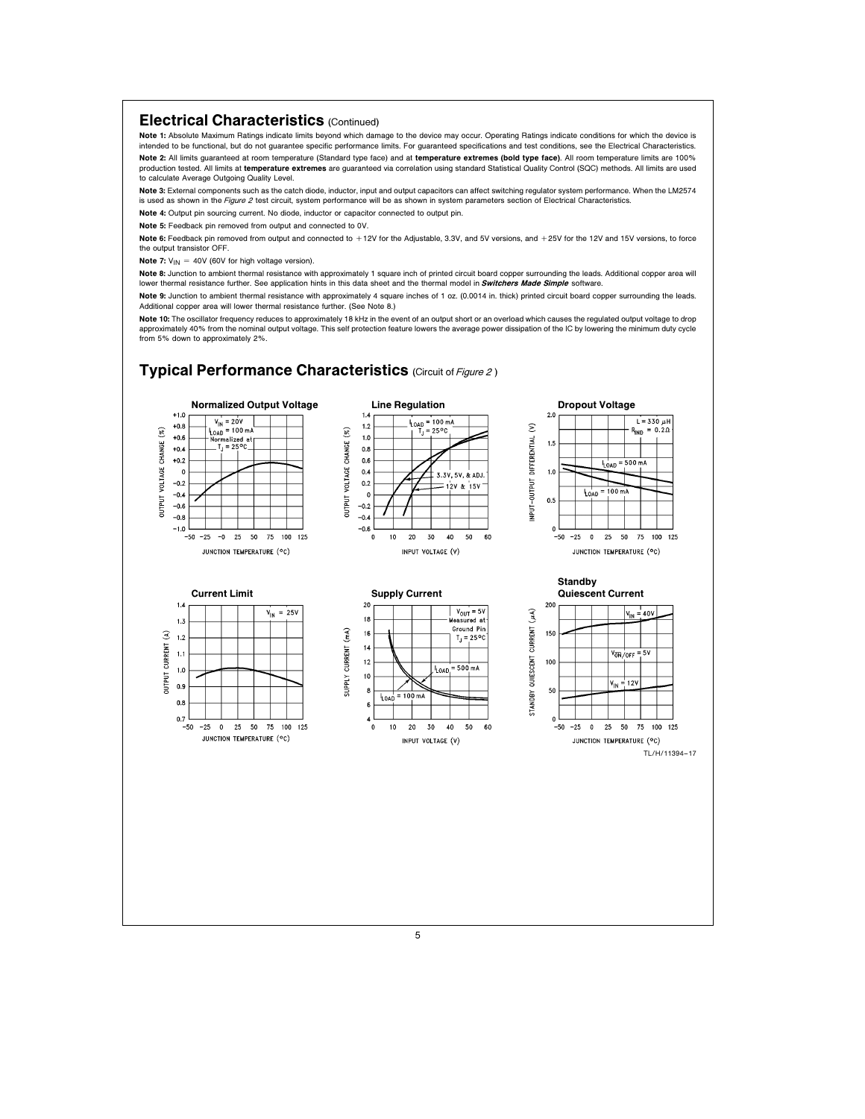### Electrical Characteristics (Continued)

Note 1: Absolute Maximum Ratings indicate limits beyond which damage to the device may occur. Operating Ratings indicate conditions for which the device is intended to be functional, but do not guarantee specific performance limits. For guaranteed specifications and test conditions, see the Electrical Characteristics. Note 2: All limits guaranteed at room temperature (Standard type face) and at temperature extremes (bold type face). All room temperature limits are 100% production tested. All limits at temperature extremes are guaranteed via correlation using standard Statistical Quality Control (SQC) methods. All limits are used to calculate Average Outgoing Quality Level.

Note 3: External components such as the catch diode, inductor, input and output capacitors can affect switching regulator system performance. When the LM2574 is used as shown in the Figure 2 test circuit, system performance will be as shown in system parameters section of Electrical Characteristics.

Note 4: Output pin sourcing current. No diode, inductor or capacitor connected to output pin.

Note 5: Feedback pin removed from output and connected to 0V.

Note 6: Feedback pin removed from output and connected to +12V for the Adjustable, 3.3V, and 5V versions, and +25V for the 12V and 15V versions, to force the output transistor OFF.

**Note 7:**  $V_{IN}$  = 40V (60V for high voltage version).

Note 8: Junction to ambient thermal resistance with approximately 1 square inch of printed circuit board copper surrounding the leads. Additional copper area will lower thermal resistance further. See application hints in this data sheet and the thermal model in **Switchers Made Simple** software.

Note 9: Junction to ambient thermal resistance with approximately 4 square inches of 1 oz. (0.0014 in. thick) printed circuit board copper surrounding the leads. Additional copper area will lower thermal resistance further. (See Note 8.)

Note 10: The oscillator frequency reduces to approximately 18 kHz in the event of an output short or an overload which causes the requisted output voltage to drop approximately 40% from the nominal output voltage. This self protection feature lowers the average power dissipation of the IC by lowering the minimum duty cycle from 5% down to approximately 2%.

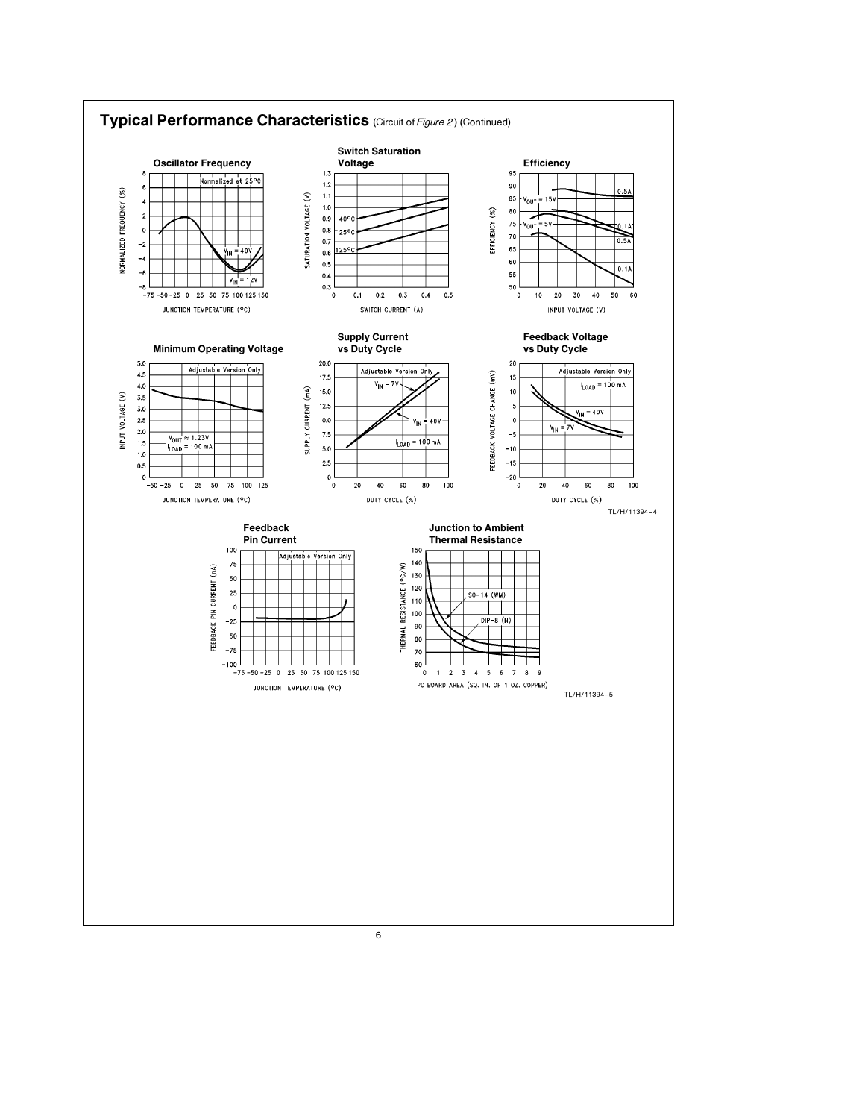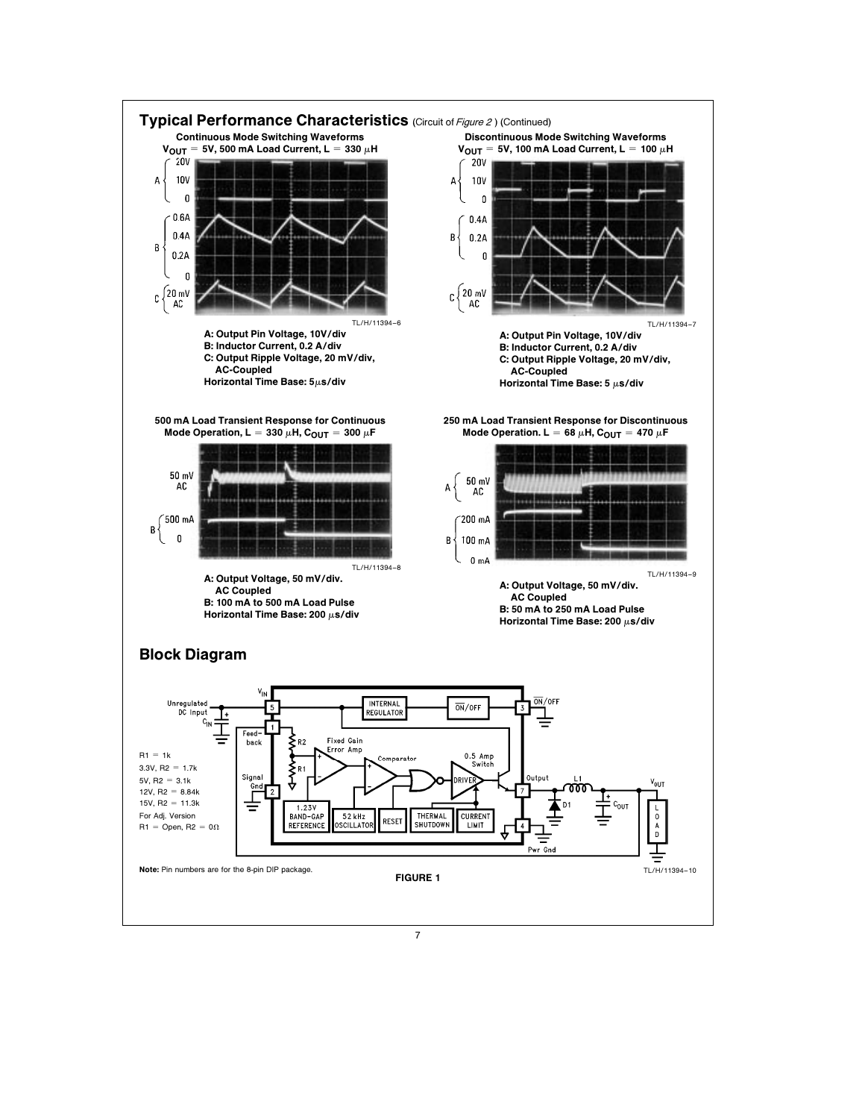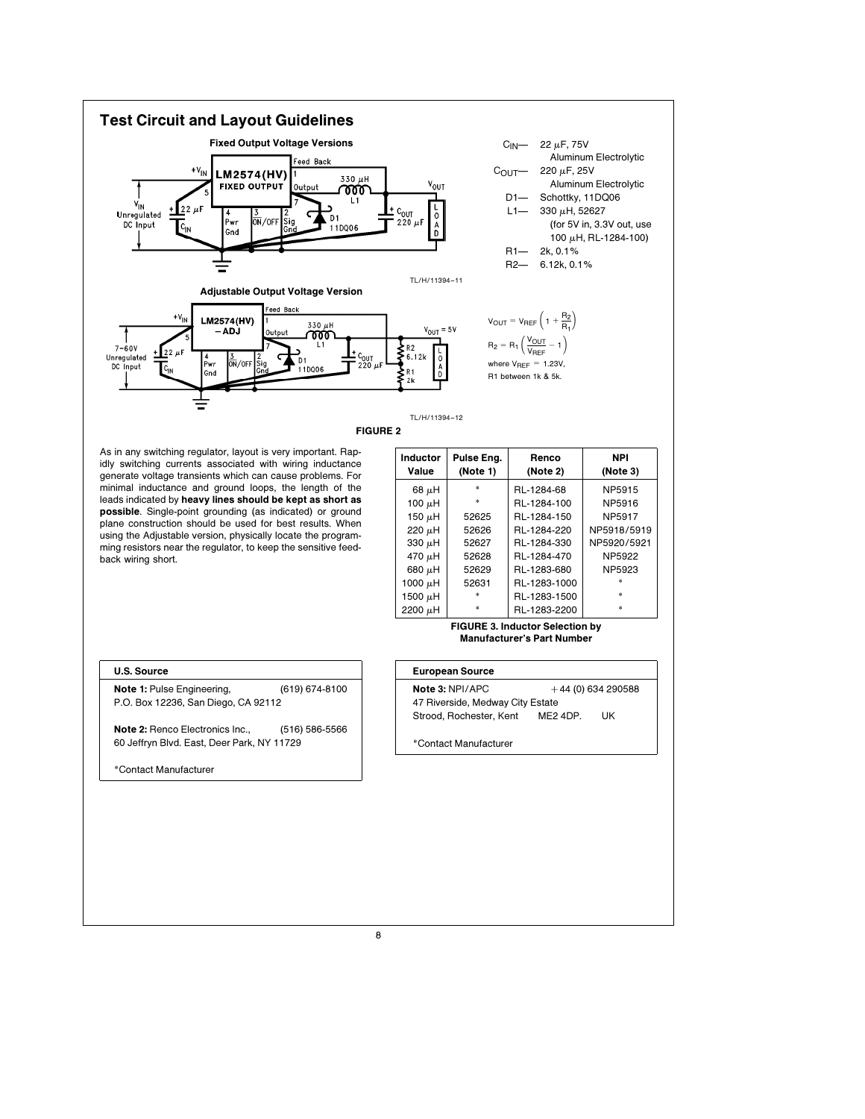

As in any switching regulator, layout is very important. Rapidly switching currents associated with wiring inductance generate voltage transients which can cause problems. For minimal inductance and ground loops, the length of the leads indicated by heavy lines should be kept as short as possible. Single-point grounding (as indicated) or ground plane construction should be used for best results. When using the Adjustable version, physically locate the programming resistors near the regulator, to keep the sensitive feedback wiring short.

| Inductor<br>Value | Pulse Eng.<br>(Note 1) | Renco<br>(Note 2) | <b>NPI</b><br>(Note 3) |
|-------------------|------------------------|-------------------|------------------------|
| $68 \mu H$        | $\ast$                 | RL-1284-68        | NP5915                 |
| 100 $\mu$ H       | $\ast$                 | RL-1284-100       | NP5916                 |
| 150 $\mu$ H       | 52625                  | RL-1284-150       | NP5917                 |
| $220 \mu H$       | 52626                  | RL-1284-220       | NP5918/5919            |
| 330 $\mu$ H       | 52627                  | RL-1284-330       | NP5920/5921            |
| 470 $\mu$ H       | 52628                  | RL-1284-470       | NP5922                 |
| 680 $\mu$ H       | 52629                  | RL-1283-680       | NP5923                 |
| 1000 µH           | 52631                  | RL-1283-1000      |                        |
| 1500 $\mu$ H      | $\ast$                 | RL-1283-1500      | ż                      |
| 2200 µH           |                        | RL-1283-2200      |                        |

#### FIGURE 3. Inductor Selection by Manufacturer's Part Number

#### U.S. Source

Note 1: Pulse Engineering, (619) 674-8100 P.O. Box 12236, San Diego, CA 92112

Note 2: Renco Electronics Inc., (516) 586-5566 60 Jeffryn Blvd. East, Deer Park, NY 11729

\*Contact Manufacturer

# European Source **Note 3: NPI/APC**  $+44$  (0) 634 290588 47 Riverside, Medway City Estate Strood, Rochester, Kent ME2 4DP. UK \*Contact Manufacturer

8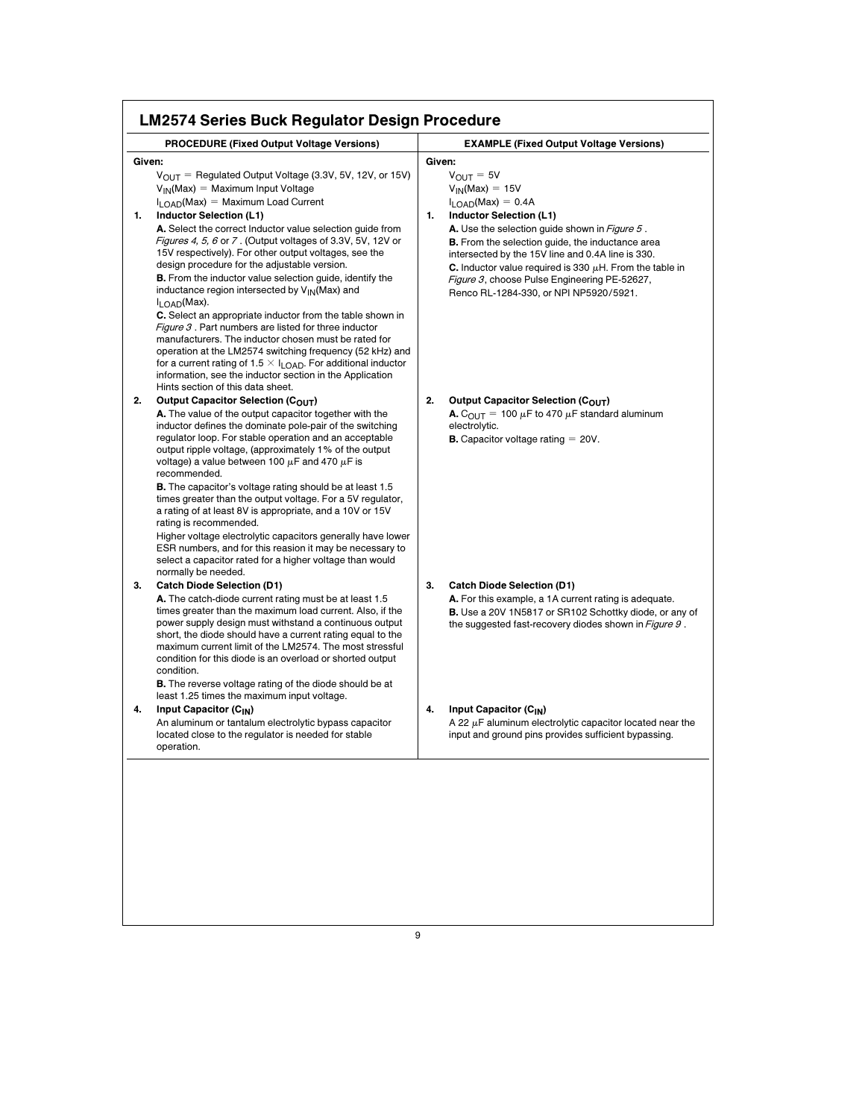|        | <b>PROCEDURE (Fixed Output Voltage Versions)</b>                                                                                                                                                                                                                                                                                                                                                                                                                                                                                                                                                                                                                                                                                                                                                                                                                                                                                                                                                 | <b>EXAMPLE (Fixed Output Voltage Versions)</b>                                                                                                                                                                                                                                                                                                                                                                                                                  |
|--------|--------------------------------------------------------------------------------------------------------------------------------------------------------------------------------------------------------------------------------------------------------------------------------------------------------------------------------------------------------------------------------------------------------------------------------------------------------------------------------------------------------------------------------------------------------------------------------------------------------------------------------------------------------------------------------------------------------------------------------------------------------------------------------------------------------------------------------------------------------------------------------------------------------------------------------------------------------------------------------------------------|-----------------------------------------------------------------------------------------------------------------------------------------------------------------------------------------------------------------------------------------------------------------------------------------------------------------------------------------------------------------------------------------------------------------------------------------------------------------|
| Given: |                                                                                                                                                                                                                                                                                                                                                                                                                                                                                                                                                                                                                                                                                                                                                                                                                                                                                                                                                                                                  | Given:                                                                                                                                                                                                                                                                                                                                                                                                                                                          |
| 1.     | $V_{\text{OUT}}$ = Regulated Output Voltage (3.3V, 5V, 12V, or 15V)<br>$V_{IN}(Max) = Maximum Input Voltage$<br>$I_{\text{LOAD}}(Max) = Maximum$ Load Current<br><b>Inductor Selection (L1)</b><br>A. Select the correct Inductor value selection guide from<br>Figures 4, 5, 6 or 7. (Output voltages of 3.3V, 5V, 12V or<br>15V respectively). For other output voltages, see the<br>design procedure for the adjustable version.<br><b>B.</b> From the inductor value selection guide, identify the<br>inductance region intersected by $V_{\text{IN}}(Max)$ and<br>I <sub>LOAD</sub> (Max).<br>C. Select an appropriate inductor from the table shown in<br><i>Figure 3</i> . Part numbers are listed for three inductor<br>manufacturers. The inductor chosen must be rated for<br>operation at the LM2574 switching frequency (52 kHz) and<br>for a current rating of 1.5 $\times$ I <sub>LOAD</sub> . For additional inductor<br>information, see the inductor section in the Application | $V_{\text{OUT}} = 5V$<br>$V_{IN}(Max) = 15V$<br>$I_{\text{LOAD}}(Max) = 0.4A$<br><b>Inductor Selection (L1)</b><br>1.<br><b>A.</b> Use the selection guide shown in <i>Figure 5</i> .<br><b>B.</b> From the selection guide, the inductance area<br>intersected by the 15V line and 0.4A line is 330.<br>C. Inductor value required is 330 $\mu$ H. From the table in<br>Figure 3, choose Pulse Engineering PE-52627,<br>Renco RL-1284-330, or NPI NP5920/5921. |
| 2.     | Hints section of this data sheet.<br>Output Capacitor Selection (COUT)<br>A. The value of the output capacitor together with the<br>inductor defines the dominate pole-pair of the switching<br>regulator loop. For stable operation and an acceptable<br>output ripple voltage, (approximately 1% of the output<br>voltage) a value between 100 $\mu$ F and 470 $\mu$ F is                                                                                                                                                                                                                                                                                                                                                                                                                                                                                                                                                                                                                      | 2.<br>Output Capacitor Selection (COUT)<br><b>A.</b> C <sub>OUT</sub> = 100 $\mu$ F to 470 $\mu$ F standard aluminum<br>electrolytic.<br><b>B.</b> Capacitor voltage rating $= 20V$ .                                                                                                                                                                                                                                                                           |
|        | recommended.<br><b>B.</b> The capacitor's voltage rating should be at least 1.5<br>times greater than the output voltage. For a 5V regulator,<br>a rating of at least 8V is appropriate, and a 10V or 15V<br>rating is recommended.<br>Higher voltage electrolytic capacitors generally have lower<br>ESR numbers, and for this reasion it may be necessary to<br>select a capacitor rated for a higher voltage than would<br>normally be needed.                                                                                                                                                                                                                                                                                                                                                                                                                                                                                                                                                |                                                                                                                                                                                                                                                                                                                                                                                                                                                                 |
| 3.     | <b>Catch Diode Selection (D1)</b><br>A. The catch-diode current rating must be at least 1.5<br>times greater than the maximum load current. Also, if the<br>power supply design must withstand a continuous output<br>short, the diode should have a current rating equal to the<br>maximum current limit of the LM2574. The most stressful<br>condition for this diode is an overload or shorted output<br>condition.<br><b>B.</b> The reverse voltage rating of the diode should be at<br>least 1.25 times the maximum input voltage.                                                                                                                                                                                                                                                                                                                                                                                                                                                          | 3.<br><b>Catch Diode Selection (D1)</b><br>A. For this example, a 1A current rating is adequate.<br><b>B.</b> Use a 20V 1N5817 or SR102 Schottky diode, or any of<br>the suggested fast-recovery diodes shown in <i>Figure 9</i> .                                                                                                                                                                                                                              |
| 4.     | Input Capacitor (C <sub>IN</sub> )<br>An aluminum or tantalum electrolytic bypass capacitor<br>located close to the regulator is needed for stable<br>operation.                                                                                                                                                                                                                                                                                                                                                                                                                                                                                                                                                                                                                                                                                                                                                                                                                                 | 4.<br>Input Capacitor (C <sub>IN</sub> )<br>A 22 $\mu$ F aluminum electrolytic capacitor located near the<br>input and ground pins provides sufficient bypassing.                                                                                                                                                                                                                                                                                               |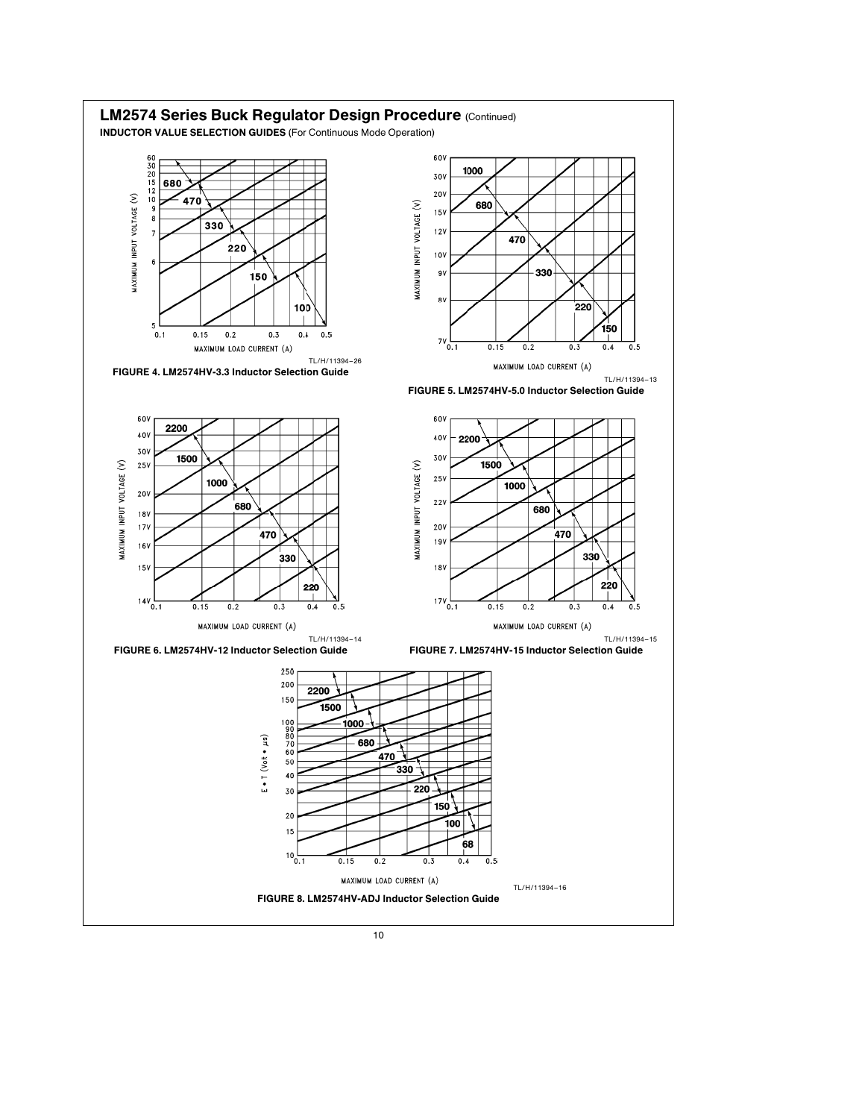![](_page_9_Figure_0.jpeg)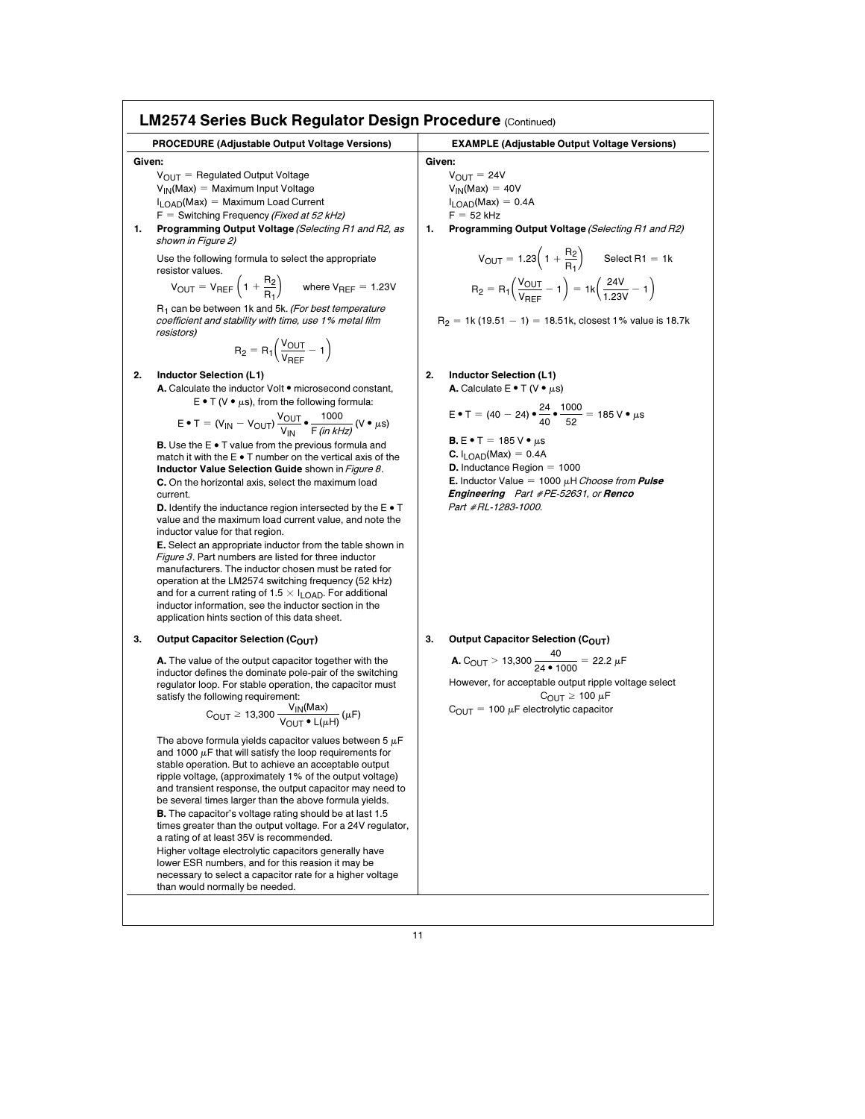|              | <b>PROCEDURE (Adjustable Output Voltage Versions)</b>                                                                                                                                                                                                                                                                                                                                                                                                                                                                                                                                                                                                                                                                                                                                                                                                                                                                                                                                                                                                                                                                                          | <b>EXAMPLE (Adjustable Output Voltage Versions)</b>                                                                                                                                                                                                                                                                                                                                                                |
|--------------|------------------------------------------------------------------------------------------------------------------------------------------------------------------------------------------------------------------------------------------------------------------------------------------------------------------------------------------------------------------------------------------------------------------------------------------------------------------------------------------------------------------------------------------------------------------------------------------------------------------------------------------------------------------------------------------------------------------------------------------------------------------------------------------------------------------------------------------------------------------------------------------------------------------------------------------------------------------------------------------------------------------------------------------------------------------------------------------------------------------------------------------------|--------------------------------------------------------------------------------------------------------------------------------------------------------------------------------------------------------------------------------------------------------------------------------------------------------------------------------------------------------------------------------------------------------------------|
| Given:<br>1. | $V_{\text{OUT}}$ = Regulated Output Voltage<br>$V_{IN}(Max) = Maximum Input Voltage$<br>$I_{\text{LOAD}}(Max) = Maximum$ Load Current<br>$F =$ Switching Frequency ( <i>Fixed at 52 kHz</i> )<br>Programming Output Voltage (Selecting R1 and R2, as<br>shown in Figure 2)<br>Use the following formula to select the appropriate<br>resistor values.<br>$V_{\text{OUT}} = V_{\text{REF}} \left( 1 + \frac{R_2}{R_1} \right)$ where $V_{\text{REF}} = 1.23V$<br>R <sub>1</sub> can be between 1k and 5k. (For best temperature<br>coefficient and stability with time, use 1% metal film                                                                                                                                                                                                                                                                                                                                                                                                                                                                                                                                                       | Given:<br>$V_{OIJT} = 24V$<br>$V_{IN}(Max) = 40V$<br>$I_{\text{LOAD}}(Max) = 0.4A$<br>$F = 52$ kHz<br>Programming Output Voltage (Selecting R1 and R2)<br>1.<br>$V_{\text{OUT}} = 1.23\left(1 + \frac{R_2}{R_1}\right)$ Select R1 = 1k<br>$R_2 = R_1 \left( \frac{V_{OUT}}{V_{DEF}} - 1 \right) = 1k \left( \frac{24V}{1.23V} - 1 \right)$<br>$R_2 = 1k(19.51 - 1) = 18.51k$ , closest 1% value is 18.7k           |
| 2.           | resistors)<br>$R_2 = R_1 \left( \frac{V_{OUT}}{V_{DEF}} - 1 \right)$                                                                                                                                                                                                                                                                                                                                                                                                                                                                                                                                                                                                                                                                                                                                                                                                                                                                                                                                                                                                                                                                           | 2.                                                                                                                                                                                                                                                                                                                                                                                                                 |
|              | Inductor Selection (L1)<br>A. Calculate the inductor Volt . microsecond constant,<br>$E \bullet T$ (V $\bullet$ µs), from the following formula:<br>$E \bullet T = (V_{IN} - V_{OUT}) \frac{V_{OUT}}{V_{IN}} \bullet \frac{1000}{F \sin kHz} (V \bullet \mu s)$<br><b>B.</b> Use the $E \cdot T$ value from the previous formula and<br>match it with the $E \bullet T$ number on the vertical axis of the<br>Inductor Value Selection Guide shown in Figure 8.<br>C. On the horizontal axis, select the maximum load<br>current.<br><b>D.</b> Identify the inductance region intersected by the $E \cdot T$<br>value and the maximum load current value, and note the<br>inductor value for that region.<br><b>E.</b> Select an appropriate inductor from the table shown in<br>Figure 3. Part numbers are listed for three inductor<br>manufacturers. The inductor chosen must be rated for<br>operation at the LM2574 switching frequency (52 kHz)<br>and for a current rating of 1.5 $\times$ I <sub>LOAD</sub> . For additional<br>inductor information, see the inductor section in the<br>application hints section of this data sheet. | Inductor Selection (L1)<br>A. Calculate $E \cdot T$ (V $\cdot \mu s$ )<br>E • T = (40 - 24) • $\frac{24}{40}$ • $\frac{1000}{52}$ = 185 V • $\mu$ s<br><b>B.</b> $E \cdot T = 185 V \cdot \mu s$<br><b>C.</b> $I_1 \cap AD(Max) = 0.4A$<br><b>D.</b> Inductance Region $= 1000$<br><b>E.</b> Inductor Value = 1000 $\mu$ H Choose from <b>Pulse</b><br>Engineering Part #PE-52631, or Renco<br>Part #RL-1283-1000. |
| 3.           | Output Capacitor Selection (COUT)<br>A. The value of the output capacitor together with the<br>inductor defines the dominate pole-pair of the switching<br>regulator loop. For stable operation, the capacitor must<br>satisfy the following requirement:<br>$\text{C}_{\text{OUT}} \geq 13{,}300\,\frac{\text{V}_{\text{IN}}\text{(Max)}}{\text{V}_{\text{OUT}}\bullet\text{I}\text{ (nH)}}\,\text{(}\mu\text{F)}$                                                                                                                                                                                                                                                                                                                                                                                                                                                                                                                                                                                                                                                                                                                            | 3.<br>Output Capacitor Selection (COUT)<br><b>A.</b> C <sub>OUT</sub> > 13,300 $\frac{40}{24 \cdot 1000}$ = 22.2 $\mu$ F<br>However, for acceptable output ripple voltage select<br>$C_{\text{OUT}} \geq 100 \mu F$<br>$C_{\text{OUT}}$ = 100 $\mu$ F electrolytic capacitor                                                                                                                                       |
|              | The above formula yields capacitor values between 5 $\mu$ F<br>and 1000 $\mu$ F that will satisfy the loop requirements for<br>stable operation. But to achieve an acceptable output<br>ripple voltage, (approximately 1% of the output voltage)<br>and transient response, the output capacitor may need to<br>be several times larger than the above formula yields.<br><b>B.</b> The capacitor's voltage rating should be at last 1.5<br>times greater than the output voltage. For a 24V regulator,<br>a rating of at least 35V is recommended.<br>Higher voltage electrolytic capacitors generally have<br>lower ESR numbers, and for this reasion it may be<br>necessary to select a capacitor rate for a higher voltage                                                                                                                                                                                                                                                                                                                                                                                                                 |                                                                                                                                                                                                                                                                                                                                                                                                                    |

than would normally be needed.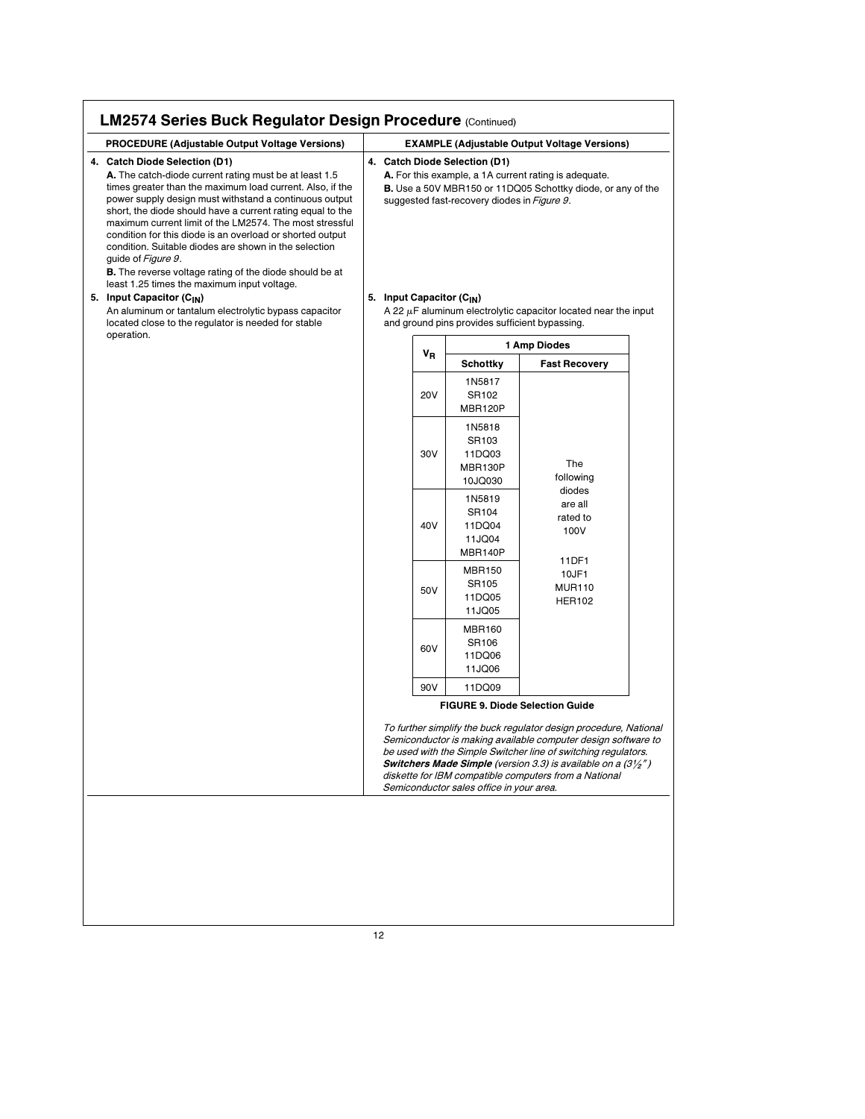| 4. Catch Diode Selection (D1)<br>4. Catch Diode Selection (D1)<br>A. The catch-diode current rating must be at least 1.5<br>A. For this example, a 1A current rating is adequate.<br>times greater than the maximum load current. Also, if the<br><b>B.</b> Use a 50V MBR150 or 11DQ05 Schottky diode, or any of the<br>power supply design must withstand a continuous output<br>suggested fast-recovery diodes in Figure 9.<br>short, the diode should have a current rating equal to the<br>maximum current limit of the LM2574. The most stressful<br>condition for this diode is an overload or shorted output<br>condition. Suitable diodes are shown in the selection<br>guide of Figure 9.<br><b>B.</b> The reverse voltage rating of the diode should be at<br>least 1.25 times the maximum input voltage.<br>5. Input Capacitor (C <sub>IN</sub> )<br>5. Input Capacitor (C <sub>IN</sub> )<br>A 22 $\mu$ F aluminum electrolytic capacitor located near the input<br>An aluminum or tantalum electrolytic bypass capacitor<br>and ground pins provides sufficient bypassing.<br>located close to the regulator is needed for stable<br>operation.<br>1 Amp Diodes<br>VR<br><b>Schottky</b><br><b>Fast Recovery</b><br>1N5817<br><b>20V</b><br>SR102<br>MBR120P<br>1N5818<br>SR103<br>30V<br>11DQ03<br>The<br>MBR130P<br>following<br>10JQ030<br>diodes<br>1N5819<br>are all<br>SR104<br>rated to<br>40V<br>11DQ04<br>100V<br>11JQ04<br>MBR140P<br>11DF1<br><b>MBR150</b><br>10JF1<br>SR105<br><b>MUR110</b><br>50V<br>11DQ05<br><b>HER102</b><br>11JQ05<br><b>MBR160</b><br>SR106<br>60V |  |
|-----------------------------------------------------------------------------------------------------------------------------------------------------------------------------------------------------------------------------------------------------------------------------------------------------------------------------------------------------------------------------------------------------------------------------------------------------------------------------------------------------------------------------------------------------------------------------------------------------------------------------------------------------------------------------------------------------------------------------------------------------------------------------------------------------------------------------------------------------------------------------------------------------------------------------------------------------------------------------------------------------------------------------------------------------------------------------------------------------------------------------------------------------------------------------------------------------------------------------------------------------------------------------------------------------------------------------------------------------------------------------------------------------------------------------------------------------------------------------------------------------------------------------------------------------------------------------------------------------|--|
|                                                                                                                                                                                                                                                                                                                                                                                                                                                                                                                                                                                                                                                                                                                                                                                                                                                                                                                                                                                                                                                                                                                                                                                                                                                                                                                                                                                                                                                                                                                                                                                                     |  |
|                                                                                                                                                                                                                                                                                                                                                                                                                                                                                                                                                                                                                                                                                                                                                                                                                                                                                                                                                                                                                                                                                                                                                                                                                                                                                                                                                                                                                                                                                                                                                                                                     |  |
|                                                                                                                                                                                                                                                                                                                                                                                                                                                                                                                                                                                                                                                                                                                                                                                                                                                                                                                                                                                                                                                                                                                                                                                                                                                                                                                                                                                                                                                                                                                                                                                                     |  |
|                                                                                                                                                                                                                                                                                                                                                                                                                                                                                                                                                                                                                                                                                                                                                                                                                                                                                                                                                                                                                                                                                                                                                                                                                                                                                                                                                                                                                                                                                                                                                                                                     |  |
|                                                                                                                                                                                                                                                                                                                                                                                                                                                                                                                                                                                                                                                                                                                                                                                                                                                                                                                                                                                                                                                                                                                                                                                                                                                                                                                                                                                                                                                                                                                                                                                                     |  |
|                                                                                                                                                                                                                                                                                                                                                                                                                                                                                                                                                                                                                                                                                                                                                                                                                                                                                                                                                                                                                                                                                                                                                                                                                                                                                                                                                                                                                                                                                                                                                                                                     |  |
|                                                                                                                                                                                                                                                                                                                                                                                                                                                                                                                                                                                                                                                                                                                                                                                                                                                                                                                                                                                                                                                                                                                                                                                                                                                                                                                                                                                                                                                                                                                                                                                                     |  |
| 11DQ06<br>11JQ06                                                                                                                                                                                                                                                                                                                                                                                                                                                                                                                                                                                                                                                                                                                                                                                                                                                                                                                                                                                                                                                                                                                                                                                                                                                                                                                                                                                                                                                                                                                                                                                    |  |
| 90V<br>11DQ09                                                                                                                                                                                                                                                                                                                                                                                                                                                                                                                                                                                                                                                                                                                                                                                                                                                                                                                                                                                                                                                                                                                                                                                                                                                                                                                                                                                                                                                                                                                                                                                       |  |
| <b>FIGURE 9. Diode Selection Guide</b>                                                                                                                                                                                                                                                                                                                                                                                                                                                                                                                                                                                                                                                                                                                                                                                                                                                                                                                                                                                                                                                                                                                                                                                                                                                                                                                                                                                                                                                                                                                                                              |  |
| To further simplify the buck regulator design procedure, National<br>Semiconductor is making available computer design software to<br>be used with the Simple Switcher line of switching regulators.<br><b>Switchers Made Simple</b> (version 3.3) is available on a $(3\frac{1}{2})$<br>diskette for IBM compatible computers from a National<br>Semiconductor sales office in your area.                                                                                                                                                                                                                                                                                                                                                                                                                                                                                                                                                                                                                                                                                                                                                                                                                                                                                                                                                                                                                                                                                                                                                                                                          |  |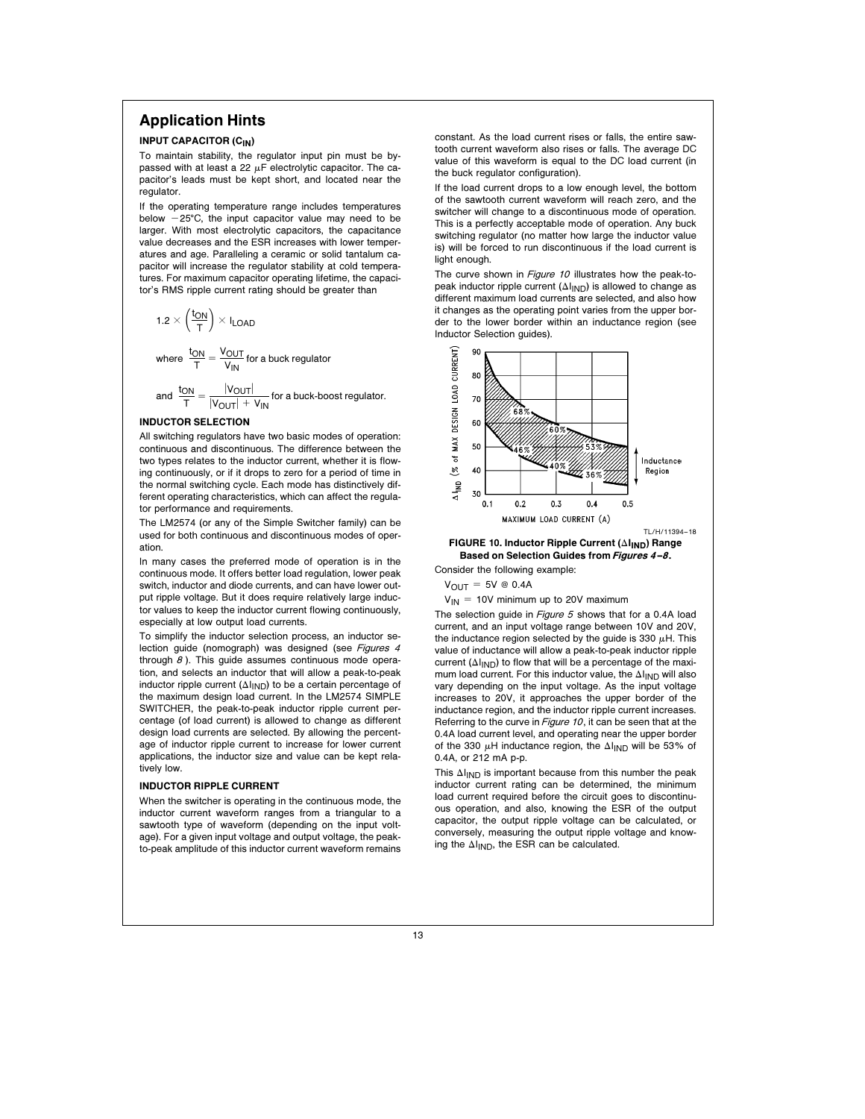## Application Hints

### INPUT CAPACITOR (CIN)

To maintain stability, the regulator input pin must be bypassed with at least a 22  $\mu$ F electrolytic capacitor. The capacitor's leads must be kept short, and located near the regulator.

If the operating temperature range includes temperatures below  $-25^{\circ}$ C, the input capacitor value may need to be larger. With most electrolytic capacitors, the capacitance value decreases and the ESR increases with lower temperatures and age. Paralleling a ceramic or solid tantalum capacitor will increase the regulator stability at cold temperatures. For maximum capacitor operating lifetime, the capacitor's RMS ripple current rating should be greater than

$$
1.2 \times \left(\frac{t_{ON}}{T}\right) \times I_{LOAD}
$$

where  $\frac{t_{ON}}{T} = \frac{V_{OUT}}{V_{IN}}$  for a buck regulator

and 
$$
\frac{t_{ON}}{T} = \frac{|V_{OUT}|}{|V_{OUT}| + V_{IN}}
$$
 for a buck-boost regulator.

#### INDUCTOR SELECTION

All switching regulators have two basic modes of operation: continuous and discontinuous. The difference between the two types relates to the inductor current, whether it is flowing continuously, or if it drops to zero for a period of time in the normal switching cycle. Each mode has distinctively different operating characteristics, which can affect the regulator performance and requirements.

The LM2574 (or any of the Simple Switcher family) can be used for both continuous and discontinuous modes of operation.

In many cases the preferred mode of operation is in the continuous mode. It offers better load regulation, lower peak switch, inductor and diode currents, and can have lower output ripple voltage. But it does require relatively large inductor values to keep the inductor current flowing continuously, especially at low output load currents.

To simplify the inductor selection process, an inductor selection guide (nomograph) was designed (see Figures 4 through  $8$ ). This guide assumes continuous mode operation, and selects an inductor that will allow a peak-to-peak inductor ripple current ( $\Delta I_{\text{IND}}$ ) to be a certain percentage of the maximum design load current. In the LM2574 SIMPLE SWITCHER, the peak-to-peak inductor ripple current percentage (of load current) is allowed to change as different design load currents are selected. By allowing the percentage of inductor ripple current to increase for lower current applications, the inductor size and value can be kept relatively low.

#### INDUCTOR RIPPLE CURRENT

When the switcher is operating in the continuous mode, the inductor current waveform ranges from a triangular to a sawtooth type of waveform (depending on the input voltage). For a given input voltage and output voltage, the peakto-peak amplitude of this inductor current waveform remains

constant. As the load current rises or falls, the entire sawtooth current waveform also rises or falls. The average DC value of this waveform is equal to the DC load current (in the buck regulator configuration).

If the load current drops to a low enough level, the bottom of the sawtooth current waveform will reach zero, and the switcher will change to a discontinuous mode of operation. This is a perfectly acceptable mode of operation. Any buck switching regulator (no matter how large the inductor value is) will be forced to run discontinuous if the load current is light enough.

The curve shown in Figure 10 illustrates how the peak-topeak inductor ripple current  $(\Delta I_{\mathsf{IND}})$  is allowed to change as different maximum load currents are selected, and also how it changes as the operating point varies from the upper border to the lower border within an inductance region (see Inductor Selection guides).

![](_page_12_Figure_17.jpeg)

#### FIGURE 10. Inductor Ripple Current ( $\Delta I_{\text{IND}}$ ) Range Based on Selection Guides from Figures 4-8.

Consider the following example:

 $V_{OUT} = 5V \otimes 0.4A$ 

#### $V_{IN}$  = 10V minimum up to 20V maximum

The selection guide in Figure 5 shows that for a 0.4A load current, and an input voltage range between 10V and 20V, the inductance region selected by the guide is 330  $\mu$ H. This value of inductance will allow a peak-to-peak inductor ripple current  $(\Delta I_{IND})$  to flow that will be a percentage of the maximum load current. For this inductor value, the  $\Delta I_{\text{IND}}$  will also vary depending on the input voltage. As the input voltage increases to 20V, it approaches the upper border of the inductance region, and the inductor ripple current increases. Referring to the curve in Figure 10, it can be seen that at the 0.4A load current level, and operating near the upper border of the 330  $\mu$ H inductance region, the  $\Delta I_{\text{IND}}$  will be 53% of 0.4A, or 212 mA p-p.

This  $\Delta I_{\text{IND}}$  is important because from this number the peak inductor current rating can be determined, the minimum load current required before the circuit goes to discontinuous operation, and also, knowing the ESR of the output capacitor, the output ripple voltage can be calculated, or conversely, measuring the output ripple voltage and knowing the  $\Delta I_{\text{IND}}$ , the ESR can be calculated.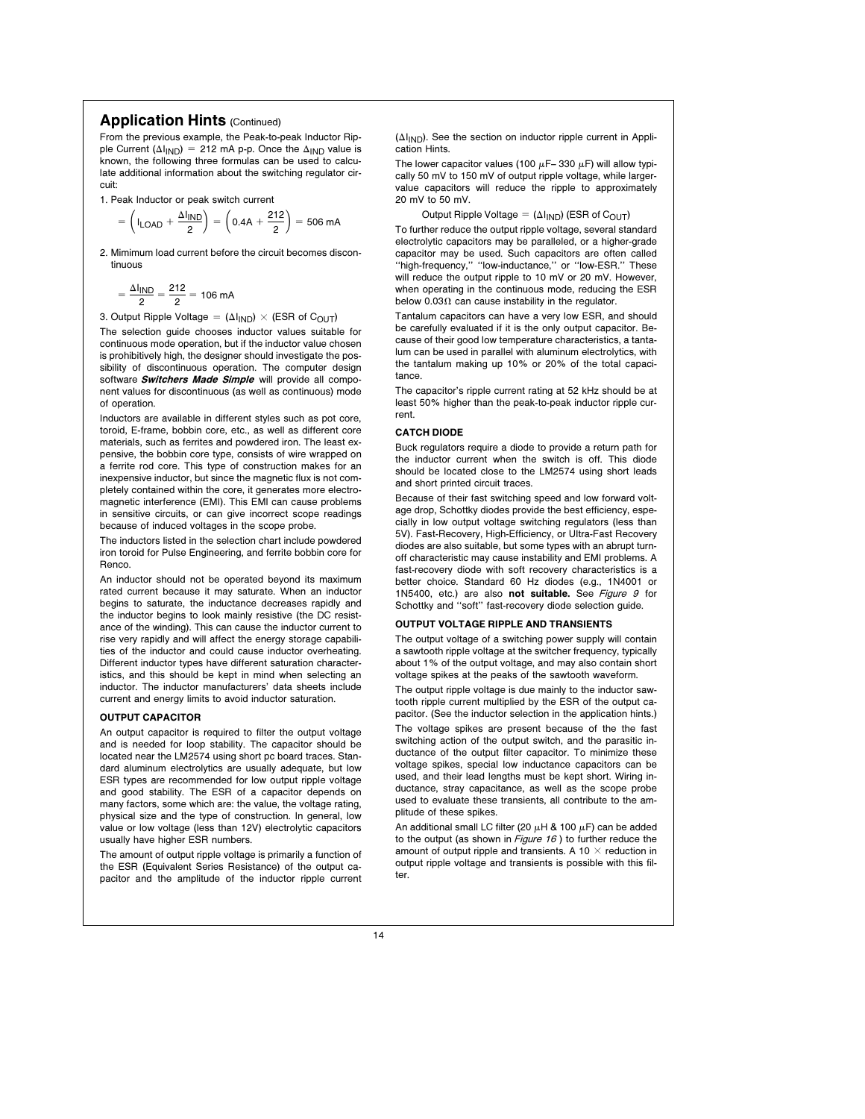### Application Hints (Continued)

From the previous example, the Peak-to-peak Inductor Ripple Current ( $\Delta I_{\text{IND}}$ ) = 212 mA p-p. Once the  $\Delta_{\text{IND}}$  value is known, the following three formulas can be used to calculate additional information about the switching regulator circuit:

1. Peak Inductor or peak switch current

$$
= \left( I_{\text{LOAD}} + \frac{\Delta I_{\text{IND}}}{2} \right) = \left( 0.4A + \frac{212}{2} \right) = 506 \text{ mA}
$$

2. Mimimum load current before the circuit becomes discontinuous

$$
= \frac{\Delta I_{IND}}{2} = \frac{212}{2} = 106 \text{ mA}
$$

3. Output Ripple Voltage =  $(\Delta I_{\text{IND}}) \times (\text{ESR of C<sub>OUT</sub>)}$ 

The selection guide chooses inductor values suitable for continuous mode operation, but if the inductor value chosen is prohibitively high, the designer should investigate the possibility of discontinuous operation. The computer design software Switchers Made Simple will provide all component values for discontinuous (as well as continuous) mode of operation.

Inductors are available in different styles such as pot core, toroid, E-frame, bobbin core, etc., as well as different core materials, such as ferrites and powdered iron. The least expensive, the bobbin core type, consists of wire wrapped on a ferrite rod core. This type of construction makes for an inexpensive inductor, but since the magnetic flux is not completely contained within the core, it generates more electromagnetic interference (EMI). This EMl can cause problems in sensitive circuits, or can give incorrect scope readings because of induced voltages in the scope probe.

The inductors listed in the selection chart include powdered iron toroid for Pulse Engineering, and ferrite bobbin core for Renco.

An inductor should not be operated beyond its maximum rated current because it may saturate. When an inductor begins to saturate, the inductance decreases rapidly and the inductor begins to look mainly resistive (the DC resistance of the winding). This can cause the inductor current to rise very rapidly and will affect the energy storage capabilities of the inductor and could cause inductor overheating. Different inductor types have different saturation characteristics, and this should be kept in mind when selecting an inductor. The inductor manufacturers' data sheets include current and energy limits to avoid inductor saturation.

#### OUTPUT CAPACITOR

An output capacitor is required to filter the output voltage and is needed for loop stability. The capacitor should be located near the LM2574 using short pc board traces. Standard aluminum electrolytics are usually adequate, but low ESR types are recommended for low output ripple voltage and good stability. The ESR of a capacitor depends on many factors, some which are: the value, the voltage rating, physical size and the type of construction. In general, low value or low voltage (less than 12V) electrolytic capacitors usually have higher ESR numbers.

The amount of output ripple voltage is primarily a function of the ESR (Equivalent Series Resistance) of the output capacitor and the amplitude of the inductor ripple current  $(\Delta I_{\text{IND}})$ . See the section on inductor ripple current in Application Hints.

The lower capacitor values (100  $\mu$ F-330  $\mu$ F) will allow typically 50 mV to 150 mV of output ripple voltage, while largervalue capacitors will reduce the ripple to approximately 20 mV to 50 mV.

Output Ripple Voltage =  $(\Delta I_{\text{IND}})$  (ESR of C<sub>OUT</sub>) To further reduce the output ripple voltage, several standard electrolytic capacitors may be paralleled, or a higher-grade capacitor may be used. Such capacitors are often called ''high-frequency,'' ''low-inductance,'' or ''low-ESR.'' These will reduce the output ripple to 10 mV or 20 mV. However, when operating in the continuous mode, reducing the ESR below 0.03 $\Omega$  can cause instability in the regulator.

Tantalum capacitors can have a very low ESR, and should be carefully evaluated if it is the only output capacitor. Because of their good low temperature characteristics, a tantalum can be used in parallel with aluminum electrolytics, with the tantalum making up 10% or 20% of the total capacitance.

The capacitor's ripple current rating at 52 kHz should be at least 50% higher than the peak-to-peak inductor ripple current.

#### CATCH DIODE

Buck regulators require a diode to provide a return path for the inductor current when the switch is off. This diode should be located close to the LM2574 using short leads and short printed circuit traces.

Because of their fast switching speed and low forward voltage drop, Schottky diodes provide the best efficiency, especially in low output voltage switching regulators (less than 5V). Fast-Recovery, High-Efficiency, or Ultra-Fast Recovery diodes are also suitable, but some types with an abrupt turnoff characteristic may cause instability and EMI problems. A fast-recovery diode with soft recovery characteristics is a better choice. Standard 60 Hz diodes (e.g., 1N4001 or 1N5400, etc.) are also not suitable. See Figure 9 for Schottky and ''soft'' fast-recovery diode selection guide.

#### OUTPUT VOLTAGE RIPPLE AND TRANSIENTS

The output voltage of a switching power supply will contain a sawtooth ripple voltage at the switcher frequency, typically about 1% of the output voltage, and may also contain short voltage spikes at the peaks of the sawtooth waveform.

The output ripple voltage is due mainly to the inductor sawtooth ripple current multiplied by the ESR of the output capacitor. (See the inductor selection in the application hints.)

The voltage spikes are present because of the the fast switching action of the output switch, and the parasitic inductance of the output filter capacitor. To minimize these voltage spikes, special low inductance capacitors can be used, and their lead lengths must be kept short. Wiring inductance, stray capacitance, as well as the scope probe used to evaluate these transients, all contribute to the amplitude of these spikes.

An additional small LC filter (20  $\mu$ H & 100  $\mu$ F) can be added to the output (as shown in Figure 16) to further reduce the amount of output ripple and transients. A 10  $\times$  reduction in output ripple voltage and transients is possible with this filter.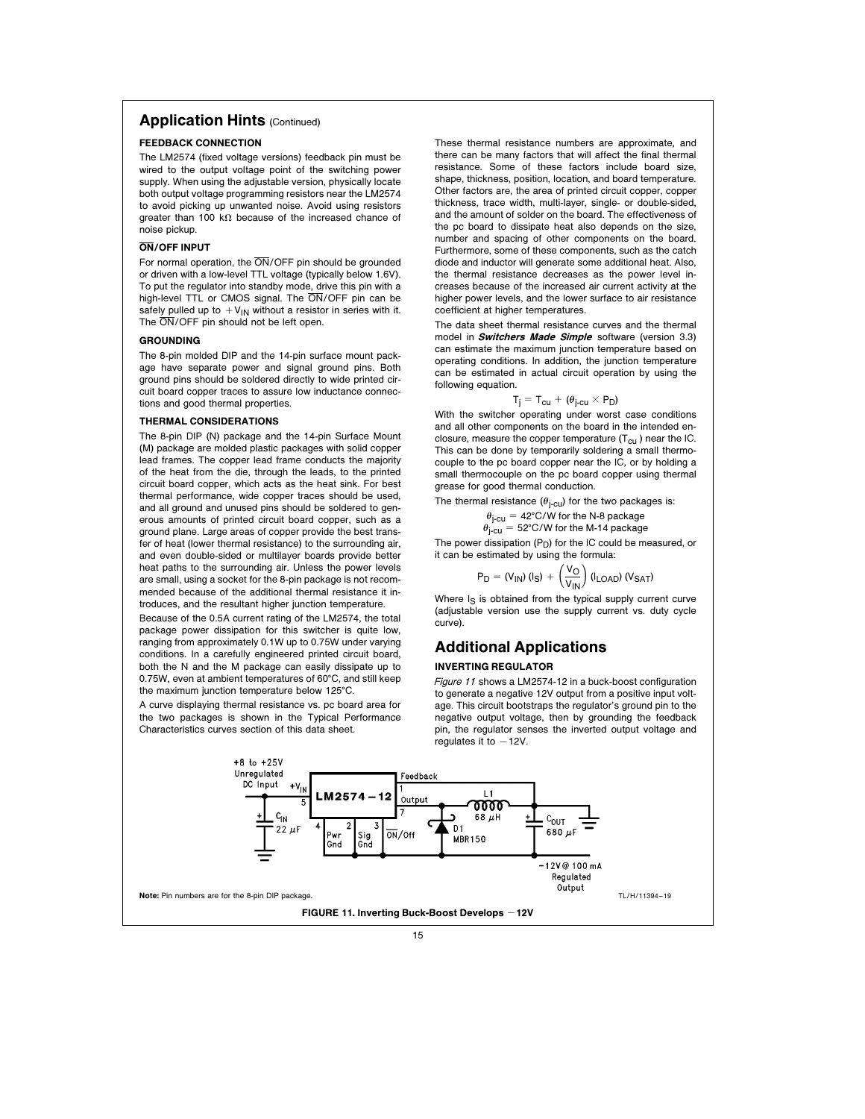## **Application Hints (Continued)**

#### FEEDBACK CONNECTION

The LM2574 (fixed voltage versions) feedback pin must be wired to the output voltage point of the switching power supply. When using the adjustable version, physically locate both output voltage programming resistors near the LM2574 to avoid picking up unwanted noise. Avoid using resistors greater than 100 k $\Omega$  because of the increased chance of noise pickup.

### ON/OFF INPUT

For normal operation, the ON/OFF pin should be grounded or driven with a low-level TTL voltage (typically below 1.6V). To put the regulator into standby mode, drive this pin with a high-level TTL or CMOS signal. The ON/OFF pin can be safely pulled up to  $V_{IN}$  without a resistor in series with it. The  $\overline{ON}/\overline{OFF}$  pin should not be left open.

### **GROUNDING**

The 8-pin molded DIP and the 14-pin surface mount package have separate power and signal ground pins. Both ground pins should be soldered directly to wide printed circuit board copper traces to assure low inductance connections and good thermal properties.

#### THERMAL CONSIDERATIONS

The 8-pin DIP (N) package and the 14-pin Surface Mount (M) package are molded plastic packages with solid copper lead frames. The copper lead frame conducts the majority of the heat from the die, through the leads, to the printed circuit board copper, which acts as the heat sink. For best thermal performance, wide copper traces should be used, and all ground and unused pins should be soldered to generous amounts of printed circuit board copper, such as a ground plane. Large areas of copper provide the best transfer of heat (lower thermal resistance) to the surrounding air, and even double-sided or multilayer boards provide better heat paths to the surrounding air. Unless the power levels are small, using a socket for the 8-pin package is not recommended because of the additional thermal resistance it introduces, and the resultant higher junction temperature.

Because of the 0.5A current rating of the LM2574, the total package power dissipation for this switcher is quite low, ranging from approximately 0.1W up to 0.75W under varying conditions. In a carefully engineered printed circuit board, both the N and the M package can easily dissipate up to 0.75W, even at ambient temperatures of 60°C, and still keep the maximum junction temperature below 125°C.

A curve displaying thermal resistance vs. pc board area for the two packages is shown in the Typical Performance Characteristics curves section of this data sheet.

These thermal resistance numbers are approximate, and there can be many factors that will affect the final thermal resistance. Some of these factors include board size, shape, thickness, position, location, and board temperature. Other factors are, the area of printed circuit copper, copper thickness, trace width, multi-layer, single- or double-sided, and the amount of solder on the board. The effectiveness of the pc board to dissipate heat also depends on the size, number and spacing of other components on the board. Furthermore, some of these components, such as the catch diode and inductor will generate some additional heat. Also, the thermal resistance decreases as the power level increases because of the increased air current activity at the higher power levels, and the lower surface to air resistance coefficient at higher temperatures.

The data sheet thermal resistance curves and the thermal model in **Switchers Made Simple** software (version 3.3) can estimate the maximum junction temperature based on operating conditions. ln addition, the junction temperature can be estimated in actual circuit operation by using the following equation.

### $T_j = T_{cu} + (\theta_{j-cu} \times P_D)$

With the switcher operating under worst case conditions and all other components on the board in the intended enclosure, measure the copper temperature  $(T_{cu})$  near the IC. This can be done by temporarily soldering a small thermocouple to the pc board copper near the IC, or by holding a small thermocouple on the pc board copper using thermal grease for good thermal conduction.

The thermal resistance  $(\theta_{i-cu})$  for the two packages is:

$$
\theta_{j-cu} = 42^{\circ} \text{C/W} \text{ for the N-8 package}
$$
  

$$
\theta_{j-cu} = 52^{\circ} \text{C/W} \text{ for the M-14 package}
$$

The power dissipation  $(P_D)$  for the IC could be measured, or it can be estimated by using the formula:

$$
P_D = (V_{IN}) (I_S) + \left(\frac{V_O}{V_{IN}}\right) (I_{LOAD}) (V_{SAT})
$$

Where I<sub>S</sub> is obtained from the typical supply current curve (adjustable version use the supply current vs. duty cycle curve).

# Additional Applications

### INVERTING REGULATOR

Figure 11 shows a LM2574-12 in a buck-boost configuration to generate a negative 12V output from a positive input voltage. This circuit bootstraps the regulator's ground pin to the negative output voltage, then by grounding the feedback pin, the regulator senses the inverted output voltage and regulates it to  $-12V$ .

![](_page_14_Figure_23.jpeg)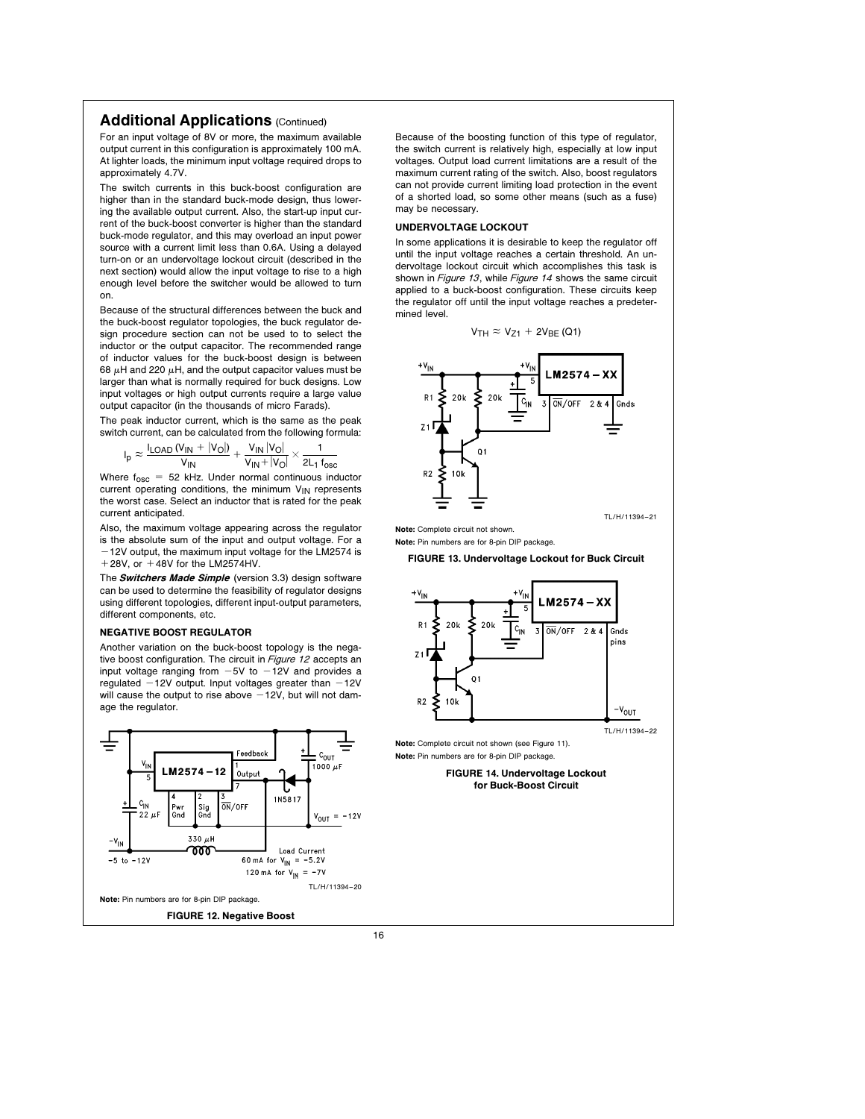### Additional Applications (Continued)

For an input voltage of 8V or more, the maximum available output current in this configuration is approximately 100 mA. At lighter loads, the minimum input voltage required drops to approximately 4.7V.

The switch currents in this buck-boost configuration are higher than in the standard buck-mode design, thus lowering the available output current. Also, the start-up input current of the buck-boost converter is higher than the standard buck-mode regulator, and this may overload an input power source with a current limit less than 0.6A. Using a delayed turn-on or an undervoltage lockout circuit (described in the next section) would allow the input voltage to rise to a high enough level before the switcher would be allowed to turn on.

Because of the structural differences between the buck and the buck-boost regulator topologies, the buck regulator design procedure section can not be used to to select the inductor or the output capacitor. The recommended range of inductor values for the buck-boost design is between 68  $\mu$ H and 220  $\mu$ H, and the output capacitor values must be larger than what is normally required for buck designs. Low input voltages or high output currents require a large value output capacitor (in the thousands of micro Farads).

The peak inductor current, which is the same as the peak switch current, can be calculated from the following formula:

$$
I_p \approx \frac{I_{LOAD} \left(V_{IN} + \left|V_O\right|\right)}{V_{IN}} + \frac{V_{IN} \left|V_O\right|}{V_{IN} + \left|V_O\right|} \times \frac{1}{2L_1 \, f_{osc}}
$$

Where  $f_{\text{osc}} = 52$  kHz. Under normal continuous inductor current operating conditions, the minimum  $V_{IN}$  represents the worst case. Select an inductor that is rated for the peak current anticipated.

Also, the maximum voltage appearing across the regulator is the absolute sum of the input and output voltage. For a  $-12V$  output, the maximum input voltage for the LM2574 is  $+28V$ , or  $+48V$  for the LM2574HV.

The **Switchers Made Simple** (version 3.3) design software can be used to determine the feasibility of regulator designs using different topologies, different input-output parameters, different components, etc.

#### NEGATIVE BOOST REGULATOR

Another variation on the buck-boost topology is the negative boost configuration. The circuit in Figure 12 accepts an input voltage ranging from  $-5V$  to  $-12V$  and provides a regulated  $-12V$  output. Input voltages greater than  $-12V$ will cause the output to rise above  $-12V$ , but will not damage the regulator.

![](_page_15_Figure_11.jpeg)

Because of the boosting function of this type of regulator, the switch current is relatively high, especially at low input voltages. Output load current limitations are a result of the maximum current rating of the switch. Also, boost regulators can not provide current limiting load protection in the event of a shorted load, so some other means (such as a fuse) may be necessary.

#### UNDERVOLTAGE LOCKOUT

In some applications it is desirable to keep the regulator off until the input voltage reaches a certain threshold. An undervoltage lockout circuit which accomplishes this task is shown in Figure 13, while Figure 14 shows the same circuit applied to a buck-boost configuration. These circuits keep the regulator off until the input voltage reaches a predetermined level.

$$
V_{TH} \approx V_{Z1} + 2V_{BE} \, (Q1)
$$

![](_page_15_Figure_16.jpeg)

Note: Complete circuit not shown.

Note: Pin numbers are for 8-pin DIP package.

FIGURE 13. Undervoltage Lockout for Buck Circuit

![](_page_15_Figure_20.jpeg)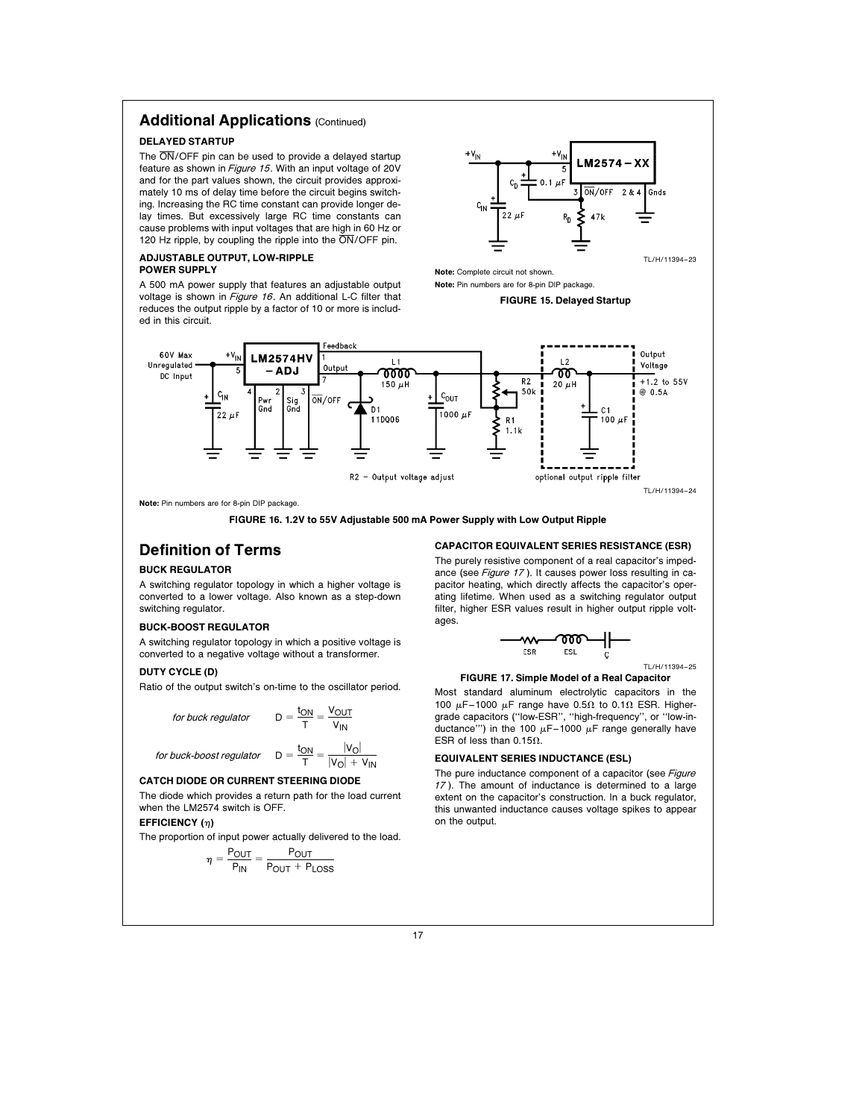# Additional Applications (Continued)

### DELAYED STARTUP

The  $\overline{\text{ON}}$ /OFF pin can be used to provide a delayed startup feature as shown in Figure <sup>15</sup>. With an input voltage of 20V and for the part values shown, the circuit provides approximately 10 ms of delay time before the circuit begins switching. Increasing the RC time constant can provide longer delay times. But excessively large RC time constants can cause problems with input voltages that are high in 60 Hz or 120 Hz ripple, by coupling the ripple into the  $\overline{ON}/\overline{OFF}$  pin.

### ADJUSTABLE OUTPUT, LOW-RIPPLE POWER SUPPLY

A 500 mA power supply that features an adjustable output voltage is shown in Figure 16. An additional L-C filter that reduces the output ripple by a factor of 10 or more is included in this circuit.

![](_page_16_Figure_5.jpeg)

Note: Complete circuit not shown.

Note: Pin numbers are for 8-pin DIP package.

#### FIGURE 15. Delayed Startup

![](_page_16_Figure_9.jpeg)

Note: Pin numbers are for 8-pin DIP package.

FIGURE 16. 1.2V to 55V Adjustable 500 mA Power Supply with Low Output Ripple

# Definition of Terms

### BUCK REGULATOR

A switching regulator topology in which a higher voltage is converted to a lower voltage. Also known as a step-down switching regulator.

#### BUCK-BOOST REGULATOR

A switching regulator topology in which a positive voltage is converted to a negative voltage without a transformer.

### DUTY CYCLE (D)

Ratio of the output switch's on-time to the oscillator period.

for buck regularator 
$$
D = \frac{t_{ON}}{T} = \frac{V_{OUT}}{V_{IN}}
$$

for buck-boost regulator 
$$
D = \frac{t_{ON}}{T}
$$

or buck-boost regulator 
$$
D = \frac{t_{ON}}{T} = \frac{|V_O|}{|V_O| + V_{IN}}
$$

# CATCH DIODE OR CURRENT STEERING DIODE

The diode which provides a return path for the load current when the LM2574 switch is OFF.

### EFFICIENCY  $(n)$

The proportion of input power actually delivered to the load.

$$
\eta = \frac{P_{OUT}}{P_{IN}} = \frac{P_{OUT}}{P_{OUT} + P_{LOSS}}
$$

#### CAPACITOR EQUIVALENT SERIES RESISTANCE (ESR)

The purely resistive component of a real capacitor's impedance (see Figure 17). It causes power loss resulting in capacitor heating, which directly affects the capacitor's operating lifetime. When used as a switching regulator output filter, higher ESR values result in higher output ripple voltages.

$$
-\underbrace{w}_{\text{ESR}}\underbrace{\text{top}}_{\text{ESL}}\underbrace{\text{top}}_{\text{L}}\underbrace{\text{L}}
$$

$$
TL/H/11394-25
$$

FIGURE 17. Simple Model of a Real Capacitor

Most standard aluminum electrolytic capacitors in the 100  $\mu$ F-1000  $\mu$ F range have 0.5 $\Omega$  to 0.1 $\Omega$  ESR. Highergrade capacitors (''low-ESR'', ''high-frequency'', or ''low-inductance"') in the 100  $\mu$ F-1000  $\mu$ F range generally have ESR of less than 0.15 $\Omega$ .

#### EQUIVALENT SERIES INDUCTANCE (ESL)

The pure inductance component of a capacitor (see Figure <sup>17</sup> ). The amount of inductance is determined to a large extent on the capacitor's construction. In a buck regulator, this unwanted inductance causes voltage spikes to appear on the output.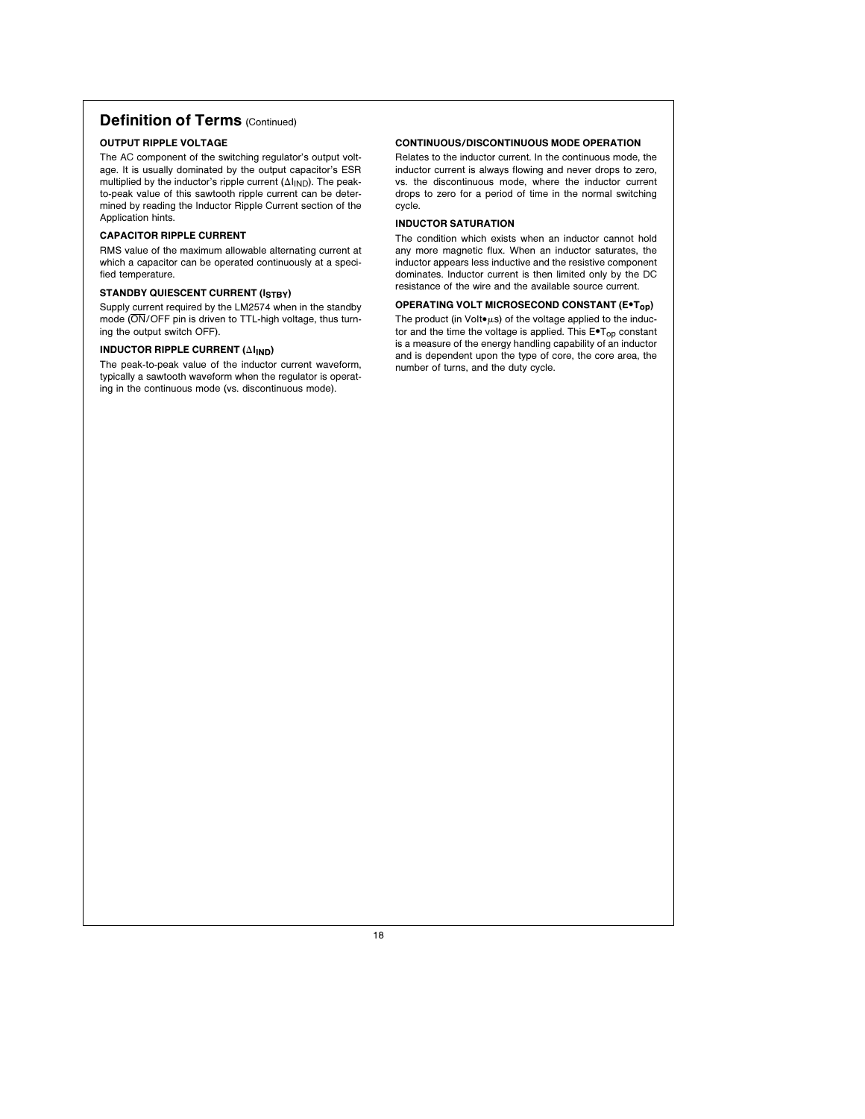# Definition of Terms (Continued)

### OUTPUT RIPPLE VOLTAGE

The AC component of the switching regulator's output voltage. It is usually dominated by the output capacitor's ESR multiplied by the inductor's ripple current  $(\Delta I_{\text{IND}})$ . The peakto-peak value of this sawtooth ripple current can be determined by reading the Inductor Ripple Current section of the Application hints.

#### CAPACITOR RIPPLE CURRENT

RMS value of the maximum allowable alternating current at which a capacitor can be operated continuously at a specified temperature.

### STANDBY QUIESCENT CURRENT (ISTBY)

Supply current required by the LM2574 when in the standby mode (ON/OFF pin is driven to TTL-high voltage, thus turning the output switch OFF).

### INDUCTOR RIPPLE CURRENT  $(\Delta I_{\mathsf{IND}})$

The peak-to-peak value of the inductor current waveform, typically a sawtooth waveform when the regulator is operating in the continuous mode (vs. discontinuous mode).

#### CONTINUOUS/DISCONTINUOUS MODE OPERATION

Relates to the inductor current. In the continuous mode, the inductor current is always flowing and never drops to zero, vs. the discontinuous mode, where the inductor current drops to zero for a period of time in the normal switching cycle.

### INDUCTOR SATURATION

The condition which exists when an inductor cannot hold any more magnetic flux. When an inductor saturates, the inductor appears less inductive and the resistive component dominates. Inductor current is then limited only by the DC resistance of the wire and the available source current.

### OPERATING VOLT MICROSECOND CONSTANT (E\*T<sub>op</sub>)

The product (in Volt $\bullet$ µs) of the voltage applied to the inductor and the time the voltage is applied. This  $E \cdot T_{op}$  constant is a measure of the energy handling capability of an inductor and is dependent upon the type of core, the core area, the number of turns, and the duty cycle.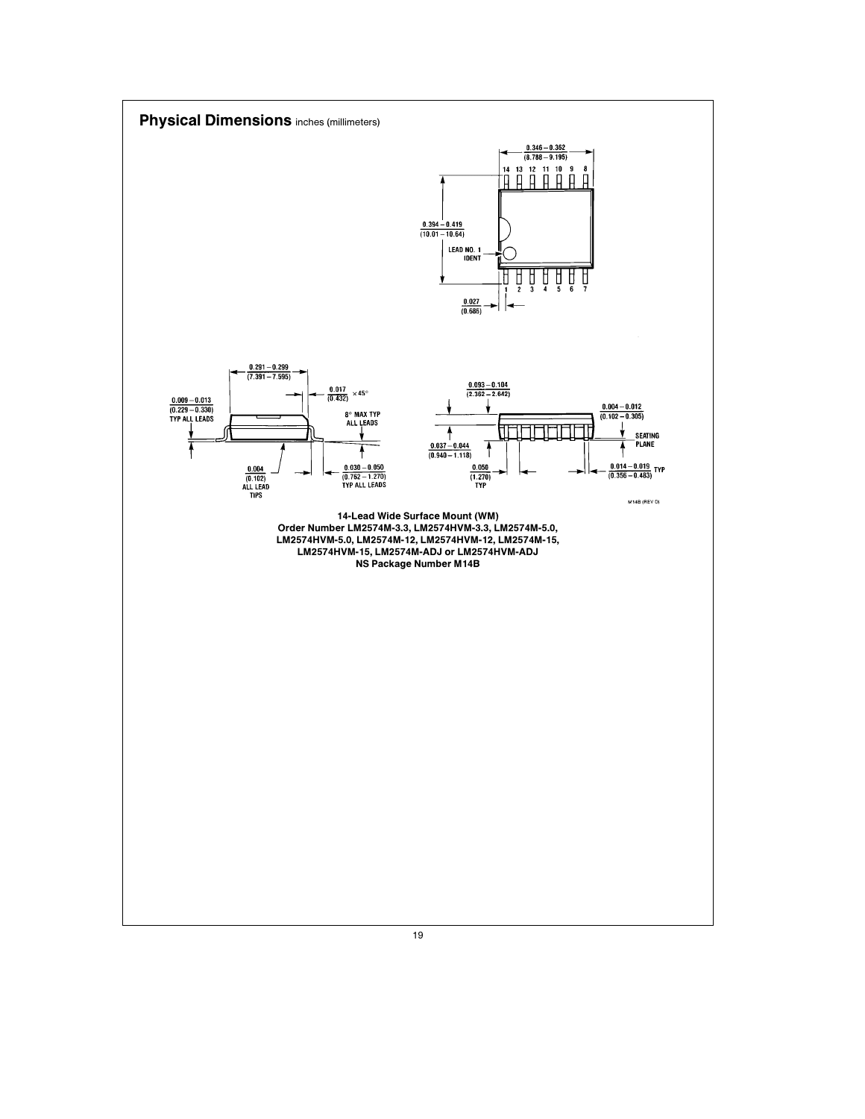![](_page_18_Figure_0.jpeg)